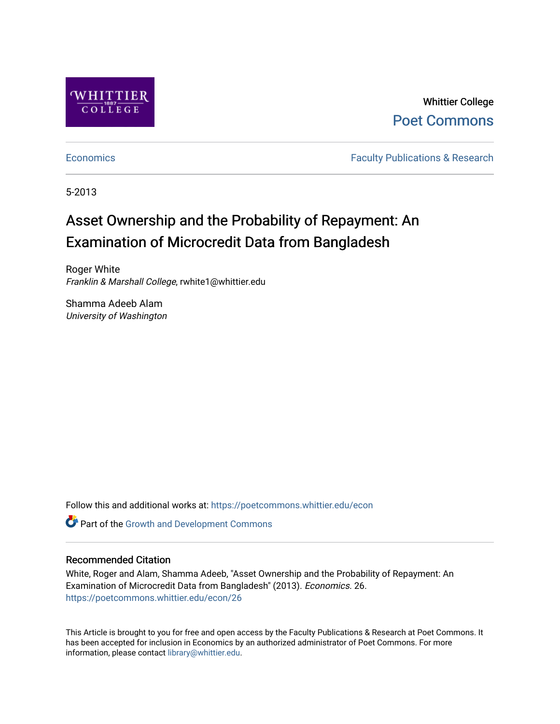

Whittier College [Poet Commons](https://poetcommons.whittier.edu/) 

[Economics](https://poetcommons.whittier.edu/econ) **Faculty Publications & Research** 

5-2013

# Asset Ownership and the Probability of Repayment: An Examination of Microcredit Data from Bangladesh

Roger White Franklin & Marshall College, rwhite1@whittier.edu

Shamma Adeeb Alam University of Washington

Follow this and additional works at: [https://poetcommons.whittier.edu/econ](https://poetcommons.whittier.edu/econ?utm_source=poetcommons.whittier.edu%2Fecon%2F26&utm_medium=PDF&utm_campaign=PDFCoverPages)

Part of the [Growth and Development Commons](http://network.bepress.com/hgg/discipline/346?utm_source=poetcommons.whittier.edu%2Fecon%2F26&utm_medium=PDF&utm_campaign=PDFCoverPages) 

### Recommended Citation

White, Roger and Alam, Shamma Adeeb, "Asset Ownership and the Probability of Repayment: An Examination of Microcredit Data from Bangladesh" (2013). Economics. 26. [https://poetcommons.whittier.edu/econ/26](https://poetcommons.whittier.edu/econ/26?utm_source=poetcommons.whittier.edu%2Fecon%2F26&utm_medium=PDF&utm_campaign=PDFCoverPages) 

This Article is brought to you for free and open access by the Faculty Publications & Research at Poet Commons. It has been accepted for inclusion in Economics by an authorized administrator of Poet Commons. For more information, please contact [library@whittier.edu.](mailto:library@whittier.edu)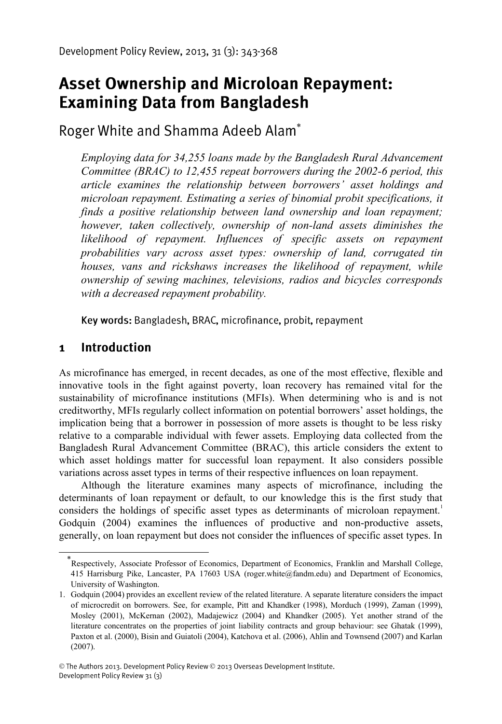## **Asset Ownership and Microloan Repayment: Examining Data from Bangladesh**

Roger White and Shamma Adeeb Alam<sup>\*</sup>

*Employing data for 34,255 loans made by the Bangladesh Rural Advancement Committee (BRAC) to 12,455 repeat borrowers during the 2002-6 period, this article examines the relationship between borrowers' asset holdings and microloan repayment. Estimating a series of binomial probit specifications, it finds a positive relationship between land ownership and loan repayment; however, taken collectively, ownership of non-land assets diminishes the likelihood of repayment. Influences of specific assets on repayment probabilities vary across asset types: ownership of land, corrugated tin houses, vans and rickshaws increases the likelihood of repayment, while ownership of sewing machines, televisions, radios and bicycles corresponds with a decreased repayment probability.* 

Key words: Bangladesh, BRAC, microfinance, probit, repayment

#### **Introduction**  $\mathbf{1}$

 $\overline{a}$ 

As microfinance has emerged, in recent decades, as one of the most effective, flexible and innovative tools in the fight against poverty, loan recovery has remained vital for the sustainability of microfinance institutions (MFIs). When determining who is and is not creditworthy, MFIs regularly collect information on potential borrowers' asset holdings, the implication being that a borrower in possession of more assets is thought to be less risky relative to a comparable individual with fewer assets. Employing data collected from the Bangladesh Rural Advancement Committee (BRAC), this article considers the extent to which asset holdings matter for successful loan repayment. It also considers possible variations across asset types in terms of their respective influences on loan repayment.

Although the literature examines many aspects of microfinance, including the determinants of loan repayment or default, to our knowledge this is the first study that considers the holdings of specific asset types as determinants of microloan repayment.<sup>1</sup> Godquin (2004) examines the influences of productive and non-productive assets, generally, on loan repayment but does not consider the influences of specific asset types. In

<sup>\*&</sup>lt;br>Respectively, Associate Professor of Economics, Department of Economics, Franklin and Marshall College, 415 Harrisburg Pike, Lancaster, PA 17603 USA (roger.white@fandm.edu) and Department of Economics, University of Washington.

<sup>1.</sup> Godquin (2004) provides an excellent review of the related literature. A separate literature considers the impact of microcredit on borrowers. See, for example, Pitt and Khandker (1998), Morduch (1999), Zaman (1999), Mosley (2001), McKernan (2002), Madajewicz (2004) and Khandker (2005). Yet another strand of the literature concentrates on the properties of joint liability contracts and group behaviour: see Ghatak (1999), Paxton et al. (2000), Bisin and Guiatoli (2004), Katchova et al. (2006), Ahlin and Townsend (2007) and Karlan (2007).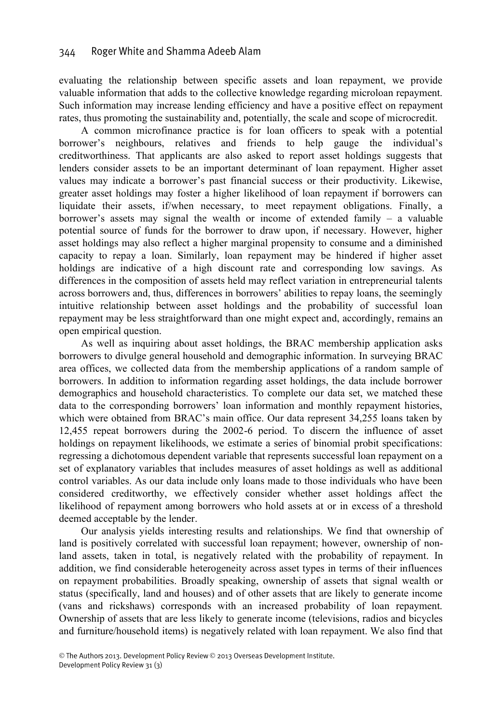evaluating the relationship between specific assets and loan repayment, we provide valuable information that adds to the collective knowledge regarding microloan repayment. Such information may increase lending efficiency and have a positive effect on repayment rates, thus promoting the sustainability and, potentially, the scale and scope of microcredit.

A common microfinance practice is for loan officers to speak with a potential borrower's neighbours, relatives and friends to help gauge the individual's creditworthiness. That applicants are also asked to report asset holdings suggests that lenders consider assets to be an important determinant of loan repayment. Higher asset values may indicate a borrower's past financial success or their productivity. Likewise, greater asset holdings may foster a higher likelihood of loan repayment if borrowers can liquidate their assets, if/when necessary, to meet repayment obligations. Finally, a borrower's assets may signal the wealth or income of extended family – a valuable potential source of funds for the borrower to draw upon, if necessary. However, higher asset holdings may also reflect a higher marginal propensity to consume and a diminished capacity to repay a loan. Similarly, loan repayment may be hindered if higher asset holdings are indicative of a high discount rate and corresponding low savings. As differences in the composition of assets held may reflect variation in entrepreneurial talents across borrowers and, thus, differences in borrowers' abilities to repay loans, the seemingly intuitive relationship between asset holdings and the probability of successful loan repayment may be less straightforward than one might expect and, accordingly, remains an open empirical question.

As well as inquiring about asset holdings, the BRAC membership application asks borrowers to divulge general household and demographic information. In surveying BRAC area offices, we collected data from the membership applications of a random sample of borrowers. In addition to information regarding asset holdings, the data include borrower demographics and household characteristics. To complete our data set, we matched these data to the corresponding borrowers' loan information and monthly repayment histories, which were obtained from BRAC's main office. Our data represent 34,255 loans taken by 12,455 repeat borrowers during the 2002-6 period. To discern the influence of asset holdings on repayment likelihoods, we estimate a series of binomial probit specifications: regressing a dichotomous dependent variable that represents successful loan repayment on a set of explanatory variables that includes measures of asset holdings as well as additional control variables. As our data include only loans made to those individuals who have been considered creditworthy, we effectively consider whether asset holdings affect the likelihood of repayment among borrowers who hold assets at or in excess of a threshold deemed acceptable by the lender.

Our analysis yields interesting results and relationships. We find that ownership of land is positively correlated with successful loan repayment; however, ownership of nonland assets, taken in total, is negatively related with the probability of repayment. In addition, we find considerable heterogeneity across asset types in terms of their influences on repayment probabilities. Broadly speaking, ownership of assets that signal wealth or status (specifically, land and houses) and of other assets that are likely to generate income (vans and rickshaws) corresponds with an increased probability of loan repayment. Ownership of assets that are less likely to generate income (televisions, radios and bicycles and furniture/household items) is negatively related with loan repayment. We also find that

© The Authors 2013. Development Policy Review © 2013 Overseas Development Institute.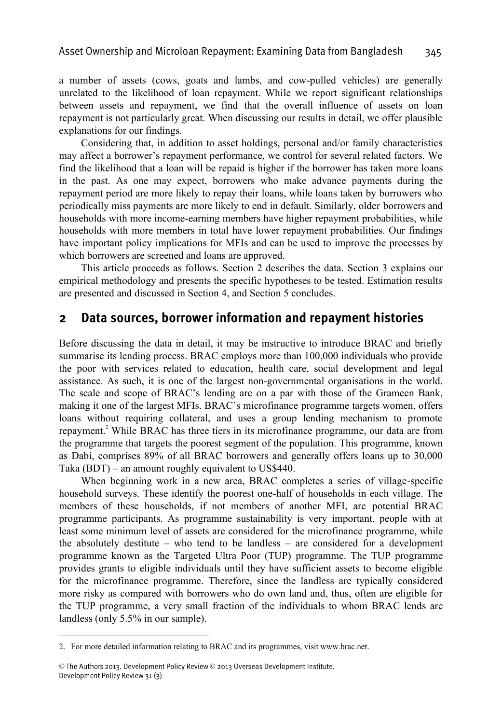a number of assets (cows, goats and lambs, and cow-pulled vehicles) are generally unrelated to the likelihood of loan repayment. While we report significant relationships between assets and repayment, we find that the overall influence of assets on loan repayment is not particularly great. When discussing our results in detail, we offer plausible explanations for our findings.

Considering that, in addition to asset holdings, personal and/or family characteristics may affect a borrower's repayment performance, we control for several related factors. We find the likelihood that a loan will be repaid is higher if the borrower has taken more loans in the past. As one may expect, borrowers who make advance payments during the repayment period are more likely to repay their loans, while loans taken by borrowers who periodically miss payments are more likely to end in default. Similarly, older borrowers and households with more income-earning members have higher repayment probabilities, while households with more members in total have lower repayment probabilities. Our findings have important policy implications for MFIs and can be used to improve the processes by which borrowers are screened and loans are approved.

This article proceeds as follows. Section 2 describes the data. Section 3 explains our empirical methodology and presents the specific hypotheses to be tested. Estimation results are presented and discussed in Section 4, and Section 5 concludes.

#### Data sources, borrower information and repayment histories  $\overline{\mathbf{2}}$

Before discussing the data in detail, it may be instructive to introduce BRAC and briefly summarise its lending process. BRAC employs more than 100,000 individuals who provide the poor with services related to education, health care, social development and legal assistance. As such, it is one of the largest non-governmental organisations in the world. The scale and scope of BRAC's lending are on a par with those of the Grameen Bank, making it one of the largest MFIs. BRAC's microfinance programme targets women, offers loans without requiring collateral, and uses a group lending mechanism to promote repayment.<sup>2</sup> While BRAC has three tiers in its microfinance programme, our data are from the programme that targets the poorest segment of the population. This programme, known as Dabi, comprises 89% of all BRAC borrowers and generally offers loans up to 30,000 Taka (BDT) – an amount roughly equivalent to US\$440.

When beginning work in a new area, BRAC completes a series of village-specific household surveys. These identify the poorest one-half of households in each village. The members of these households, if not members of another MFI, are potential BRAC programme participants. As programme sustainability is very important, people with at least some minimum level of assets are considered for the microfinance programme, while the absolutely destitute – who tend to be landless – are considered for a development programme known as the Targeted Ultra Poor (TUP) programme. The TUP programme provides grants to eligible individuals until they have sufficient assets to become eligible for the microfinance programme. Therefore, since the landless are typically considered more risky as compared with borrowers who do own land and, thus, often are eligible for the TUP programme, a very small fraction of the individuals to whom BRAC lends are landless (only 5.5% in our sample).

 $\overline{a}$ 

<sup>2.</sup> For more detailed information relating to BRAC and its programmes, visit www.brac.net.

<sup>©</sup> The Authors 2013. Development Policy Review © 2013 Overseas Development Institute. Development Policy Review 31 (3)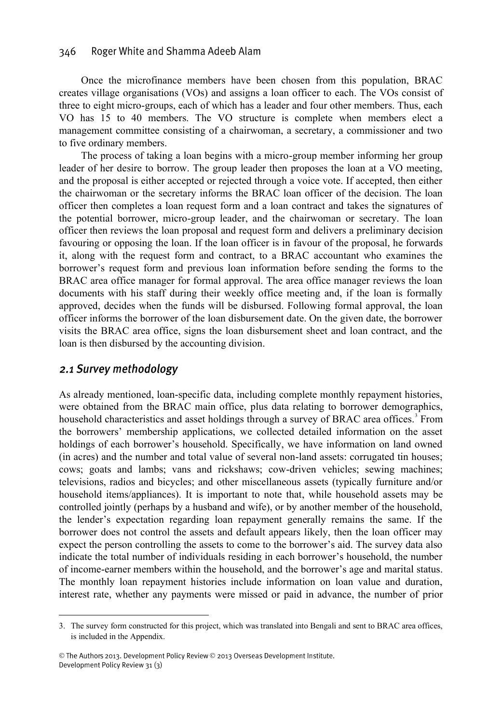Once the microfinance members have been chosen from this population, BRAC creates village organisations (VOs) and assigns a loan officer to each. The VOs consist of three to eight micro-groups, each of which has a leader and four other members. Thus, each VO has 15 to 40 members. The VO structure is complete when members elect a management committee consisting of a chairwoman, a secretary, a commissioner and two to five ordinary members.

The process of taking a loan begins with a micro-group member informing her group leader of her desire to borrow. The group leader then proposes the loan at a VO meeting, and the proposal is either accepted or rejected through a voice vote. If accepted, then either the chairwoman or the secretary informs the BRAC loan officer of the decision. The loan officer then completes a loan request form and a loan contract and takes the signatures of the potential borrower, micro-group leader, and the chairwoman or secretary. The loan officer then reviews the loan proposal and request form and delivers a preliminary decision favouring or opposing the loan. If the loan officer is in favour of the proposal, he forwards it, along with the request form and contract, to a BRAC accountant who examines the borrower's request form and previous loan information before sending the forms to the BRAC area office manager for formal approval. The area office manager reviews the loan documents with his staff during their weekly office meeting and, if the loan is formally approved, decides when the funds will be disbursed. Following formal approval, the loan officer informs the borrower of the loan disbursement date. On the given date, the borrower visits the BRAC area office, signs the loan disbursement sheet and loan contract, and the loan is then disbursed by the accounting division.

### 2.1 Survey methodology

 $\overline{a}$ 

As already mentioned, loan-specific data, including complete monthly repayment histories, were obtained from the BRAC main office, plus data relating to borrower demographics, household characteristics and asset holdings through a survey of BRAC area offices.<sup>3</sup> From the borrowers' membership applications, we collected detailed information on the asset holdings of each borrower's household. Specifically, we have information on land owned (in acres) and the number and total value of several non-land assets: corrugated tin houses; cows; goats and lambs; vans and rickshaws; cow-driven vehicles; sewing machines; televisions, radios and bicycles; and other miscellaneous assets (typically furniture and/or household items/appliances). It is important to note that, while household assets may be controlled jointly (perhaps by a husband and wife), or by another member of the household, the lender's expectation regarding loan repayment generally remains the same. If the borrower does not control the assets and default appears likely, then the loan officer may expect the person controlling the assets to come to the borrower's aid. The survey data also indicate the total number of individuals residing in each borrower's household, the number of income-earner members within the household, and the borrower's age and marital status. The monthly loan repayment histories include information on loan value and duration, interest rate, whether any payments were missed or paid in advance, the number of prior

© The Authors 2013. Development Policy Review © 2013 Overseas Development Institute. Development Policy Review 31 (3)

<sup>3.</sup> The survey form constructed for this project, which was translated into Bengali and sent to BRAC area offices, is included in the Appendix.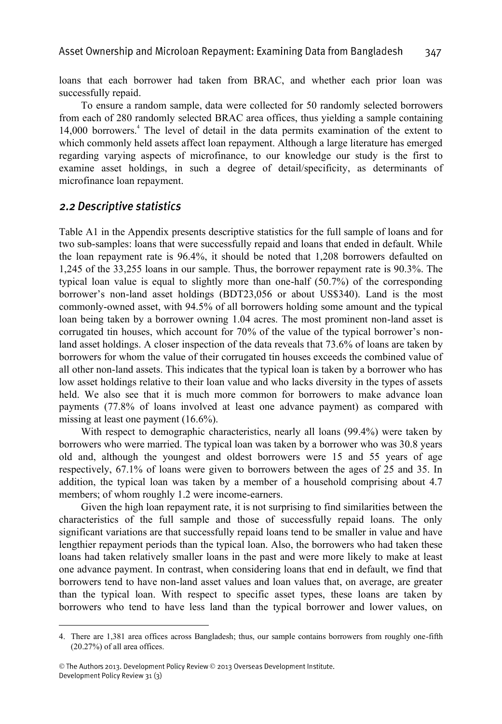loans that each borrower had taken from BRAC, and whether each prior loan was successfully repaid.

To ensure a random sample, data were collected for 50 randomly selected borrowers from each of 280 randomly selected BRAC area offices, thus yielding a sample containing 14,000 borrowers.<sup>4</sup> The level of detail in the data permits examination of the extent to which commonly held assets affect loan repayment. Although a large literature has emerged regarding varying aspects of microfinance, to our knowledge our study is the first to examine asset holdings, in such a degree of detail/specificity, as determinants of microfinance loan repayment.

### 2.2 Descriptive statistics

 $\overline{a}$ 

Table A1 in the Appendix presents descriptive statistics for the full sample of loans and for two sub-samples: loans that were successfully repaid and loans that ended in default. While the loan repayment rate is 96.4%, it should be noted that 1,208 borrowers defaulted on 1,245 of the 33,255 loans in our sample. Thus, the borrower repayment rate is 90.3%. The typical loan value is equal to slightly more than one-half (50.7%) of the corresponding borrower's non-land asset holdings (BDT23,056 or about US\$340). Land is the most commonly-owned asset, with 94.5% of all borrowers holding some amount and the typical loan being taken by a borrower owning 1.04 acres. The most prominent non-land asset is corrugated tin houses, which account for 70% of the value of the typical borrower's nonland asset holdings. A closer inspection of the data reveals that 73.6% of loans are taken by borrowers for whom the value of their corrugated tin houses exceeds the combined value of all other non-land assets. This indicates that the typical loan is taken by a borrower who has low asset holdings relative to their loan value and who lacks diversity in the types of assets held. We also see that it is much more common for borrowers to make advance loan payments (77.8% of loans involved at least one advance payment) as compared with missing at least one payment (16.6%).

With respect to demographic characteristics, nearly all loans (99.4%) were taken by borrowers who were married. The typical loan was taken by a borrower who was 30.8 years old and, although the youngest and oldest borrowers were 15 and 55 years of age respectively, 67.1% of loans were given to borrowers between the ages of 25 and 35. In addition, the typical loan was taken by a member of a household comprising about 4.7 members; of whom roughly 1.2 were income-earners.

Given the high loan repayment rate, it is not surprising to find similarities between the characteristics of the full sample and those of successfully repaid loans. The only significant variations are that successfully repaid loans tend to be smaller in value and have lengthier repayment periods than the typical loan. Also, the borrowers who had taken these loans had taken relatively smaller loans in the past and were more likely to make at least one advance payment. In contrast, when considering loans that end in default, we find that borrowers tend to have non-land asset values and loan values that, on average, are greater than the typical loan. With respect to specific asset types, these loans are taken by borrowers who tend to have less land than the typical borrower and lower values, on

<sup>4.</sup> There are 1,381 area offices across Bangladesh; thus, our sample contains borrowers from roughly one-fifth (20.27%) of all area offices.

<sup>©</sup> The Authors 2013. Development Policy Review © 2013 Overseas Development Institute. Development Policy Review 31 (3)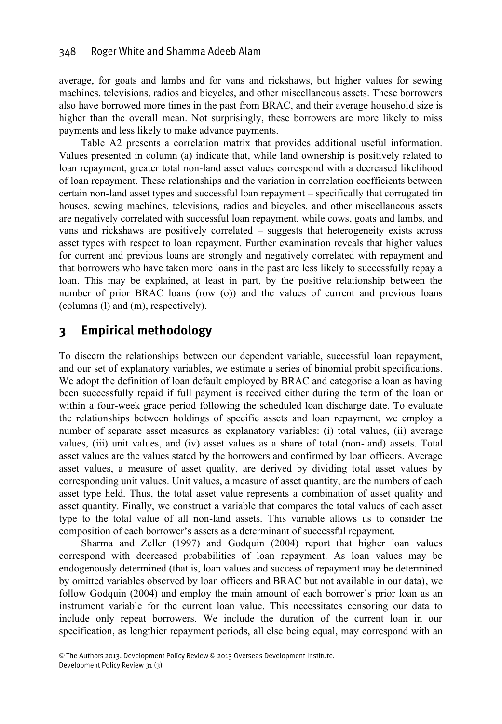average, for goats and lambs and for vans and rickshaws, but higher values for sewing machines, televisions, radios and bicycles, and other miscellaneous assets. These borrowers also have borrowed more times in the past from BRAC, and their average household size is higher than the overall mean. Not surprisingly, these borrowers are more likely to miss payments and less likely to make advance payments.

Table A2 presents a correlation matrix that provides additional useful information. Values presented in column (a) indicate that, while land ownership is positively related to loan repayment, greater total non-land asset values correspond with a decreased likelihood of loan repayment. These relationships and the variation in correlation coefficients between certain non-land asset types and successful loan repayment – specifically that corrugated tin houses, sewing machines, televisions, radios and bicycles, and other miscellaneous assets are negatively correlated with successful loan repayment, while cows, goats and lambs, and vans and rickshaws are positively correlated – suggests that heterogeneity exists across asset types with respect to loan repayment. Further examination reveals that higher values for current and previous loans are strongly and negatively correlated with repayment and that borrowers who have taken more loans in the past are less likely to successfully repay a loan. This may be explained, at least in part, by the positive relationship between the number of prior BRAC loans (row (o)) and the values of current and previous loans (columns (l) and (m), respectively).

#### **Empirical methodology**  $\overline{\mathbf{3}}$

To discern the relationships between our dependent variable, successful loan repayment, and our set of explanatory variables, we estimate a series of binomial probit specifications. We adopt the definition of loan default employed by BRAC and categorise a loan as having been successfully repaid if full payment is received either during the term of the loan or within a four-week grace period following the scheduled loan discharge date. To evaluate the relationships between holdings of specific assets and loan repayment, we employ a number of separate asset measures as explanatory variables: (i) total values, (ii) average values, (iii) unit values, and (iv) asset values as a share of total (non-land) assets. Total asset values are the values stated by the borrowers and confirmed by loan officers. Average asset values, a measure of asset quality, are derived by dividing total asset values by corresponding unit values. Unit values, a measure of asset quantity, are the numbers of each asset type held. Thus, the total asset value represents a combination of asset quality and asset quantity. Finally, we construct a variable that compares the total values of each asset type to the total value of all non-land assets. This variable allows us to consider the composition of each borrower's assets as a determinant of successful repayment.

Sharma and Zeller (1997) and Godquin (2004) report that higher loan values correspond with decreased probabilities of loan repayment. As loan values may be endogenously determined (that is, loan values and success of repayment may be determined by omitted variables observed by loan officers and BRAC but not available in our data), we follow Godquin (2004) and employ the main amount of each borrower's prior loan as an instrument variable for the current loan value. This necessitates censoring our data to include only repeat borrowers. We include the duration of the current loan in our specification, as lengthier repayment periods, all else being equal, may correspond with an

© The Authors 2013. Development Policy Review © 2013 Overseas Development Institute.

Development Policy Review 31 (3)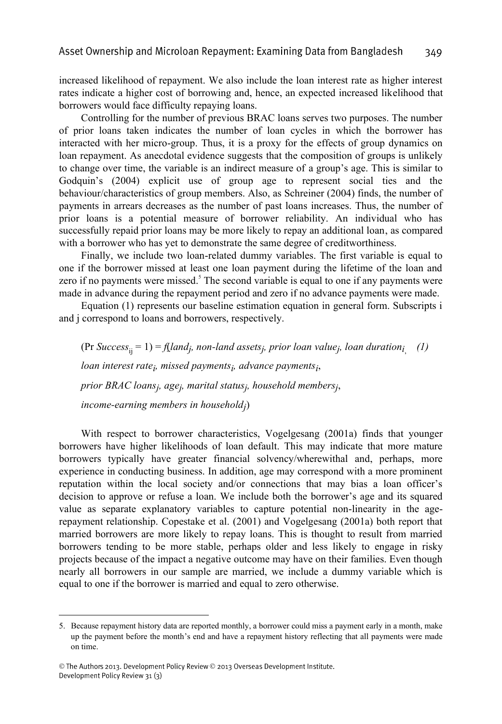increased likelihood of repayment. We also include the loan interest rate as higher interest rates indicate a higher cost of borrowing and, hence, an expected increased likelihood that borrowers would face difficulty repaying loans.

Controlling for the number of previous BRAC loans serves two purposes. The number of prior loans taken indicates the number of loan cycles in which the borrower has interacted with her micro-group. Thus, it is a proxy for the effects of group dynamics on loan repayment. As anecdotal evidence suggests that the composition of groups is unlikely to change over time, the variable is an indirect measure of a group's age. This is similar to Godquin's (2004) explicit use of group age to represent social ties and the behaviour/characteristics of group members. Also, as Schreiner (2004) finds, the number of payments in arrears decreases as the number of past loans increases. Thus, the number of prior loans is a potential measure of borrower reliability. An individual who has successfully repaid prior loans may be more likely to repay an additional loan, as compared with a borrower who has yet to demonstrate the same degree of creditworthiness.

Finally, we include two loan-related dummy variables. The first variable is equal to one if the borrower missed at least one loan payment during the lifetime of the loan and zero if no payments were missed.<sup>5</sup> The second variable is equal to one if any payments were made in advance during the repayment period and zero if no advance payments were made.

Equation (1) represents our baseline estimation equation in general form. Subscripts i and j correspond to loans and borrowers, respectively.

(Pr *Success*ij = 1) = *f*(*landj , non-land assetsj , prior loan valuej , loan durationi*,  *(1) loan interest ratei , missed paymentsi , advance paymentsi* , *prior BRAC loansj , agej , marital statusj , household membersj* , *income-earning members in householdj* )

With respect to borrower characteristics, Vogelgesang (2001a) finds that younger borrowers have higher likelihoods of loan default. This may indicate that more mature borrowers typically have greater financial solvency/wherewithal and, perhaps, more experience in conducting business. In addition, age may correspond with a more prominent reputation within the local society and/or connections that may bias a loan officer's decision to approve or refuse a loan. We include both the borrower's age and its squared value as separate explanatory variables to capture potential non-linearity in the agerepayment relationship. Copestake et al. (2001) and Vogelgesang (2001a) both report that married borrowers are more likely to repay loans. This is thought to result from married borrowers tending to be more stable, perhaps older and less likely to engage in risky projects because of the impact a negative outcome may have on their families. Even though nearly all borrowers in our sample are married, we include a dummy variable which is equal to one if the borrower is married and equal to zero otherwise.

 $\overline{a}$ 

<sup>5.</sup> Because repayment history data are reported monthly, a borrower could miss a payment early in a month, make up the payment before the month's end and have a repayment history reflecting that all payments were made on time.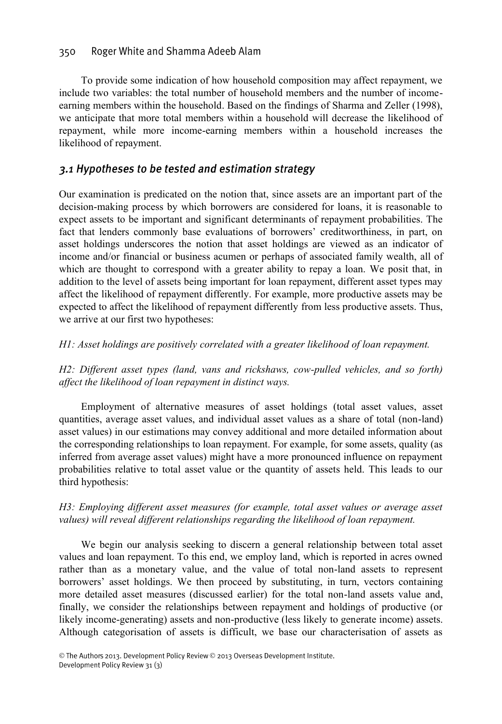#### Roger White and Shamma Adeeb Alam 350

To provide some indication of how household composition may affect repayment, we include two variables: the total number of household members and the number of incomeearning members within the household. Based on the findings of Sharma and Zeller (1998), we anticipate that more total members within a household will decrease the likelihood of repayment, while more income-earning members within a household increases the likelihood of repayment.

### 3.1 Hypotheses to be tested and estimation strategy

Our examination is predicated on the notion that, since assets are an important part of the decision-making process by which borrowers are considered for loans, it is reasonable to expect assets to be important and significant determinants of repayment probabilities. The fact that lenders commonly base evaluations of borrowers' creditworthiness, in part, on asset holdings underscores the notion that asset holdings are viewed as an indicator of income and/or financial or business acumen or perhaps of associated family wealth, all of which are thought to correspond with a greater ability to repay a loan. We posit that, in addition to the level of assets being important for loan repayment, different asset types may affect the likelihood of repayment differently. For example, more productive assets may be expected to affect the likelihood of repayment differently from less productive assets. Thus, we arrive at our first two hypotheses:

#### *H1: Asset holdings are positively correlated with a greater likelihood of loan repayment.*

*H2: Different asset types (land, vans and rickshaws, cow-pulled vehicles, and so forth) affect the likelihood of loan repayment in distinct ways.* 

Employment of alternative measures of asset holdings (total asset values, asset quantities, average asset values, and individual asset values as a share of total (non-land) asset values) in our estimations may convey additional and more detailed information about the corresponding relationships to loan repayment. For example, for some assets, quality (as inferred from average asset values) might have a more pronounced influence on repayment probabilities relative to total asset value or the quantity of assets held. This leads to our third hypothesis:

#### *H3: Employing different asset measures (for example, total asset values or average asset*  values) will reveal different relationships regarding the likelihood of loan repayment.

We begin our analysis seeking to discern a general relationship between total asset values and loan repayment. To this end, we employ land, which is reported in acres owned rather than as a monetary value, and the value of total non-land assets to represent borrowers' asset holdings. We then proceed by substituting, in turn, vectors containing more detailed asset measures (discussed earlier) for the total non-land assets value and, finally, we consider the relationships between repayment and holdings of productive (or likely income-generating) assets and non-productive (less likely to generate income) assets. Although categorisation of assets is difficult, we base our characterisation of assets as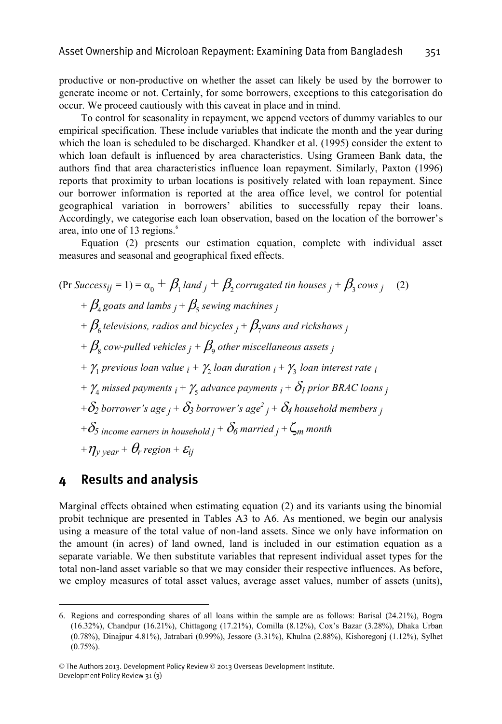productive or non-productive on whether the asset can likely be used by the borrower to generate income or not. Certainly, for some borrowers, exceptions to this categorisation do occur. We proceed cautiously with this caveat in place and in mind.

To control for seasonality in repayment, we append vectors of dummy variables to our empirical specification. These include variables that indicate the month and the year during which the loan is scheduled to be discharged. Khandker et al. (1995) consider the extent to which loan default is influenced by area characteristics. Using Grameen Bank data, the authors find that area characteristics influence loan repayment. Similarly, Paxton (1996) reports that proximity to urban locations is positively related with loan repayment. Since our borrower information is reported at the area office level, we control for potential geographical variation in borrowers' abilities to successfully repay their loans. Accordingly, we categorise each loan observation, based on the location of the borrower's area, into one of 13 regions.<sup>6</sup>

Equation (2) presents our estimation equation, complete with individual asset measures and seasonal and geographical fixed effects.

(Pr Success<sub>ij</sub> = 1) = 
$$
\alpha_0 + \beta_1
$$
 land  $j + \beta_2$  corrupted tin houses  $j + \beta_3$  cows  $j$  (2)  
+  $\beta_4$  goats and lambs  $j + \beta_5$  sewing machines  $j$   
+  $\beta_6$  televisions, radios and bicycles  $j + \beta_7$ vans and riskhaws  $j$   
+  $\beta_8$  cow-pulled vehicles  $j + \beta_9$  other miscellaneous assets  $j$   
+  $\gamma_1$  previous loan value  $i + \gamma_2$  loan duration  $i + \gamma_3$  loan interest rate  $i$   
+  $\gamma_4$  missed payments  $i + \gamma_5$  advance payments  $i + \delta_1$  prior BRAC loans  $j$   
+  $\delta_2$  borrower's age  $j + \delta_3$  borrower's age<sup>2</sup>  $j + \delta_4$  household members  $j$   
+  $\delta_5$  income carriers in household  $j + \delta_6$  married  $j + \zeta_m$  month  
+  $\eta_y$  year +  $\theta_r$  region +  $\varepsilon_{ij}$ 

#### **Results and analysis** 4

 $\overline{a}$ 

Marginal effects obtained when estimating equation (2) and its variants using the binomial probit technique are presented in Tables A3 to A6. As mentioned, we begin our analysis using a measure of the total value of non-land assets. Since we only have information on the amount (in acres) of land owned, land is included in our estimation equation as a separate variable. We then substitute variables that represent individual asset types for the total non-land asset variable so that we may consider their respective influences. As before, we employ measures of total asset values, average asset values, number of assets (units),

<sup>6.</sup> Regions and corresponding shares of all loans within the sample are as follows: Barisal (24.21%), Bogra (16.32%), Chandpur (16.21%), Chittagong (17.21%), Comilla (8.12%), Cox's Bazar (3.28%), Dhaka Urban (0.78%), Dinajpur 4.81%), Jatrabari (0.99%), Jessore (3.31%), Khulna (2.88%), Kishoregonj (1.12%), Sylhet  $(0.75\%)$ .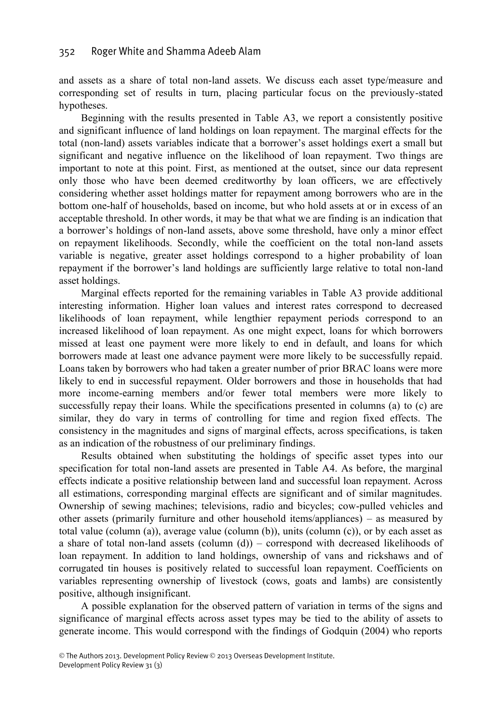and assets as a share of total non-land assets. We discuss each asset type/measure and corresponding set of results in turn, placing particular focus on the previously-stated hypotheses.

Beginning with the results presented in Table A3, we report a consistently positive and significant influence of land holdings on loan repayment. The marginal effects for the total (non-land) assets variables indicate that a borrower's asset holdings exert a small but significant and negative influence on the likelihood of loan repayment. Two things are important to note at this point. First, as mentioned at the outset, since our data represent only those who have been deemed creditworthy by loan officers, we are effectively considering whether asset holdings matter for repayment among borrowers who are in the bottom one-half of households, based on income, but who hold assets at or in excess of an acceptable threshold. In other words, it may be that what we are finding is an indication that a borrower's holdings of non-land assets, above some threshold, have only a minor effect on repayment likelihoods. Secondly, while the coefficient on the total non-land assets variable is negative, greater asset holdings correspond to a higher probability of loan repayment if the borrower's land holdings are sufficiently large relative to total non-land asset holdings.

Marginal effects reported for the remaining variables in Table A3 provide additional interesting information. Higher loan values and interest rates correspond to decreased likelihoods of loan repayment, while lengthier repayment periods correspond to an increased likelihood of loan repayment. As one might expect, loans for which borrowers missed at least one payment were more likely to end in default, and loans for which borrowers made at least one advance payment were more likely to be successfully repaid. Loans taken by borrowers who had taken a greater number of prior BRAC loans were more likely to end in successful repayment. Older borrowers and those in households that had more income-earning members and/or fewer total members were more likely to successfully repay their loans. While the specifications presented in columns (a) to (c) are similar, they do vary in terms of controlling for time and region fixed effects. The consistency in the magnitudes and signs of marginal effects, across specifications, is taken as an indication of the robustness of our preliminary findings.

Results obtained when substituting the holdings of specific asset types into our specification for total non-land assets are presented in Table A4. As before, the marginal effects indicate a positive relationship between land and successful loan repayment. Across all estimations, corresponding marginal effects are significant and of similar magnitudes. Ownership of sewing machines; televisions, radio and bicycles; cow-pulled vehicles and other assets (primarily furniture and other household items/appliances) – as measured by total value (column (a)), average value (column (b)), units (column (c)), or by each asset as a share of total non-land assets (column  $(d)$ ) – correspond with decreased likelihoods of loan repayment. In addition to land holdings, ownership of vans and rickshaws and of corrugated tin houses is positively related to successful loan repayment. Coefficients on variables representing ownership of livestock (cows, goats and lambs) are consistently positive, although insignificant.

A possible explanation for the observed pattern of variation in terms of the signs and significance of marginal effects across asset types may be tied to the ability of assets to generate income. This would correspond with the findings of Godquin (2004) who reports

© The Authors 2013. Development Policy Review © 2013 Overseas Development Institute.

Development Policy Review 31 (3)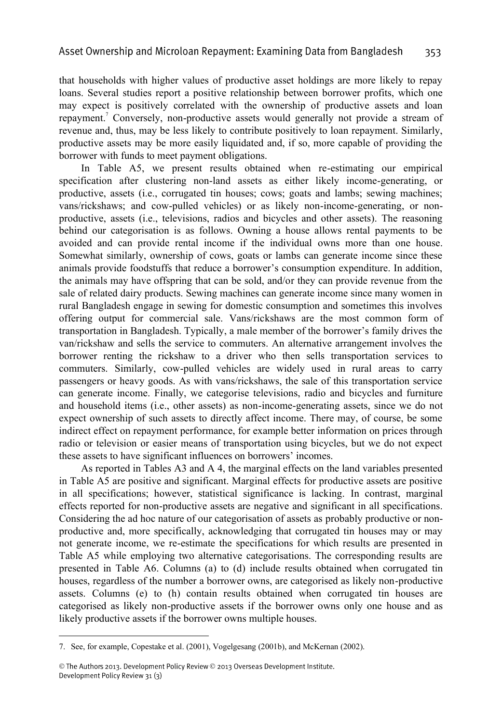that households with higher values of productive asset holdings are more likely to repay loans. Several studies report a positive relationship between borrower profits, which one may expect is positively correlated with the ownership of productive assets and loan repayment.<sup>7</sup> Conversely, non-productive assets would generally not provide a stream of revenue and, thus, may be less likely to contribute positively to loan repayment. Similarly, productive assets may be more easily liquidated and, if so, more capable of providing the borrower with funds to meet payment obligations.

In Table A5, we present results obtained when re-estimating our empirical specification after clustering non-land assets as either likely income-generating, or productive, assets (i.e., corrugated tin houses; cows; goats and lambs; sewing machines; vans/rickshaws; and cow-pulled vehicles) or as likely non-income-generating, or nonproductive, assets (i.e., televisions, radios and bicycles and other assets). The reasoning behind our categorisation is as follows. Owning a house allows rental payments to be avoided and can provide rental income if the individual owns more than one house. Somewhat similarly, ownership of cows, goats or lambs can generate income since these animals provide foodstuffs that reduce a borrower's consumption expenditure. In addition, the animals may have offspring that can be sold, and/or they can provide revenue from the sale of related dairy products. Sewing machines can generate income since many women in rural Bangladesh engage in sewing for domestic consumption and sometimes this involves offering output for commercial sale. Vans/rickshaws are the most common form of transportation in Bangladesh. Typically, a male member of the borrower's family drives the van/rickshaw and sells the service to commuters. An alternative arrangement involves the borrower renting the rickshaw to a driver who then sells transportation services to commuters. Similarly, cow-pulled vehicles are widely used in rural areas to carry passengers or heavy goods. As with vans/rickshaws, the sale of this transportation service can generate income. Finally, we categorise televisions, radio and bicycles and furniture and household items (i.e., other assets) as non-income-generating assets, since we do not expect ownership of such assets to directly affect income. There may, of course, be some indirect effect on repayment performance, for example better information on prices through radio or television or easier means of transportation using bicycles, but we do not expect these assets to have significant influences on borrowers' incomes.

As reported in Tables A3 and A 4, the marginal effects on the land variables presented in Table A5 are positive and significant. Marginal effects for productive assets are positive in all specifications; however, statistical significance is lacking. In contrast, marginal effects reported for non-productive assets are negative and significant in all specifications. Considering the ad hoc nature of our categorisation of assets as probably productive or nonproductive and, more specifically, acknowledging that corrugated tin houses may or may not generate income, we re-estimate the specifications for which results are presented in Table A5 while employing two alternative categorisations. The corresponding results are presented in Table A6. Columns (a) to (d) include results obtained when corrugated tin houses, regardless of the number a borrower owns, are categorised as likely non-productive assets. Columns (e) to (h) contain results obtained when corrugated tin houses are categorised as likely non-productive assets if the borrower owns only one house and as likely productive assets if the borrower owns multiple houses.

 $\overline{a}$ 

<sup>7.</sup> See, for example, Copestake et al. (2001), Vogelgesang (2001b), and McKernan (2002).

<sup>©</sup> The Authors 2013. Development Policy Review © 2013 Overseas Development Institute. Development Policy Review 31 (3)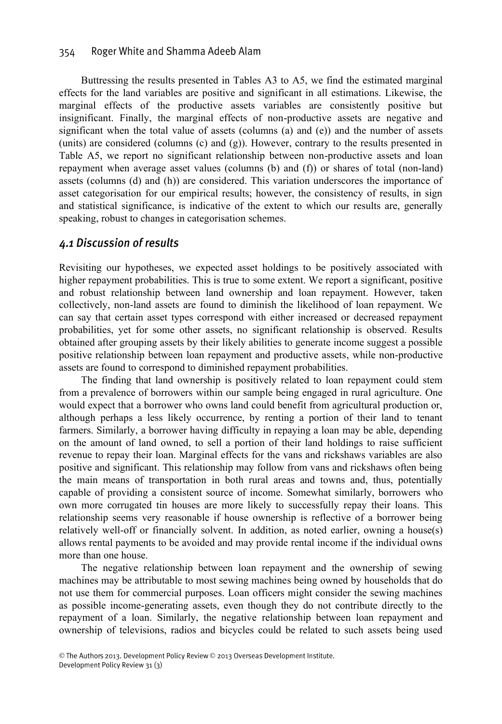#### Roger White and Shamma Adeeb Alam 354

Buttressing the results presented in Tables A3 to A5, we find the estimated marginal effects for the land variables are positive and significant in all estimations. Likewise, the marginal effects of the productive assets variables are consistently positive but insignificant. Finally, the marginal effects of non-productive assets are negative and significant when the total value of assets (columns (a) and (e)) and the number of assets (units) are considered (columns (c) and (g)). However, contrary to the results presented in Table A5, we report no significant relationship between non-productive assets and loan repayment when average asset values (columns (b) and (f)) or shares of total (non-land) assets (columns (d) and (h)) are considered. This variation underscores the importance of asset categorisation for our empirical results; however, the consistency of results, in sign and statistical significance, is indicative of the extent to which our results are, generally speaking, robust to changes in categorisation schemes.

#### 4.1 Discussion of results

Revisiting our hypotheses, we expected asset holdings to be positively associated with higher repayment probabilities. This is true to some extent. We report a significant, positive and robust relationship between land ownership and loan repayment. However, taken collectively, non-land assets are found to diminish the likelihood of loan repayment. We can say that certain asset types correspond with either increased or decreased repayment probabilities, yet for some other assets, no significant relationship is observed. Results obtained after grouping assets by their likely abilities to generate income suggest a possible positive relationship between loan repayment and productive assets, while non-productive assets are found to correspond to diminished repayment probabilities.

The finding that land ownership is positively related to loan repayment could stem from a prevalence of borrowers within our sample being engaged in rural agriculture. One would expect that a borrower who owns land could benefit from agricultural production or, although perhaps a less likely occurrence, by renting a portion of their land to tenant farmers. Similarly, a borrower having difficulty in repaying a loan may be able, depending on the amount of land owned, to sell a portion of their land holdings to raise sufficient revenue to repay their loan. Marginal effects for the vans and rickshaws variables are also positive and significant. This relationship may follow from vans and rickshaws often being the main means of transportation in both rural areas and towns and, thus, potentially capable of providing a consistent source of income. Somewhat similarly, borrowers who own more corrugated tin houses are more likely to successfully repay their loans. This relationship seems very reasonable if house ownership is reflective of a borrower being relatively well-off or financially solvent. In addition, as noted earlier, owning a house(s) allows rental payments to be avoided and may provide rental income if the individual owns more than one house.

The negative relationship between loan repayment and the ownership of sewing machines may be attributable to most sewing machines being owned by households that do not use them for commercial purposes. Loan officers might consider the sewing machines as possible income-generating assets, even though they do not contribute directly to the repayment of a loan. Similarly, the negative relationship between loan repayment and ownership of televisions, radios and bicycles could be related to such assets being used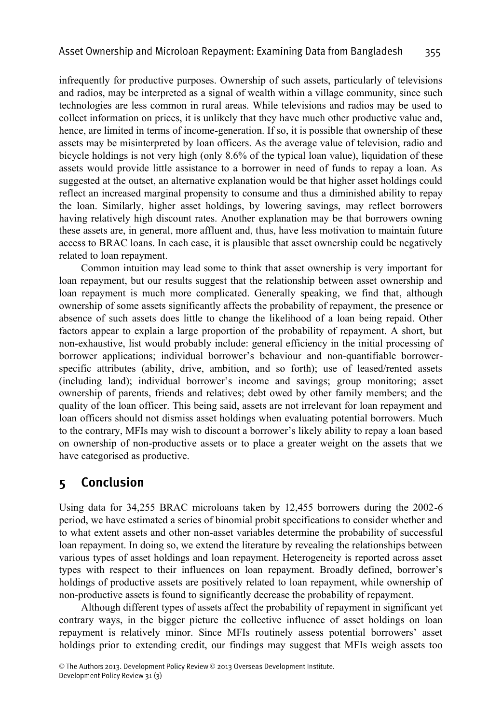infrequently for productive purposes. Ownership of such assets, particularly of televisions and radios, may be interpreted as a signal of wealth within a village community, since such technologies are less common in rural areas. While televisions and radios may be used to collect information on prices, it is unlikely that they have much other productive value and, hence, are limited in terms of income-generation. If so, it is possible that ownership of these assets may be misinterpreted by loan officers. As the average value of television, radio and bicycle holdings is not very high (only 8.6% of the typical loan value), liquidation of these assets would provide little assistance to a borrower in need of funds to repay a loan. As suggested at the outset, an alternative explanation would be that higher asset holdings could reflect an increased marginal propensity to consume and thus a diminished ability to repay the loan. Similarly, higher asset holdings, by lowering savings, may reflect borrowers having relatively high discount rates. Another explanation may be that borrowers owning these assets are, in general, more affluent and, thus, have less motivation to maintain future access to BRAC loans. In each case, it is plausible that asset ownership could be negatively related to loan repayment.

Common intuition may lead some to think that asset ownership is very important for loan repayment, but our results suggest that the relationship between asset ownership and loan repayment is much more complicated. Generally speaking, we find that, although ownership of some assets significantly affects the probability of repayment, the presence or absence of such assets does little to change the likelihood of a loan being repaid. Other factors appear to explain a large proportion of the probability of repayment. A short, but non-exhaustive, list would probably include: general efficiency in the initial processing of borrower applications; individual borrower's behaviour and non-quantifiable borrowerspecific attributes (ability, drive, ambition, and so forth); use of leased/rented assets (including land); individual borrower's income and savings; group monitoring; asset ownership of parents, friends and relatives; debt owed by other family members; and the quality of the loan officer. This being said, assets are not irrelevant for loan repayment and loan officers should not dismiss asset holdings when evaluating potential borrowers. Much to the contrary, MFIs may wish to discount a borrower's likely ability to repay a loan based on ownership of non-productive assets or to place a greater weight on the assets that we have categorised as productive.

#### **Conclusion** 5

Using data for 34,255 BRAC microloans taken by 12,455 borrowers during the 2002-6 period, we have estimated a series of binomial probit specifications to consider whether and to what extent assets and other non-asset variables determine the probability of successful loan repayment. In doing so, we extend the literature by revealing the relationships between various types of asset holdings and loan repayment. Heterogeneity is reported across asset types with respect to their influences on loan repayment. Broadly defined, borrower's holdings of productive assets are positively related to loan repayment, while ownership of non-productive assets is found to significantly decrease the probability of repayment.

Although different types of assets affect the probability of repayment in significant yet contrary ways, in the bigger picture the collective influence of asset holdings on loan repayment is relatively minor. Since MFIs routinely assess potential borrowers' asset holdings prior to extending credit, our findings may suggest that MFIs weigh assets too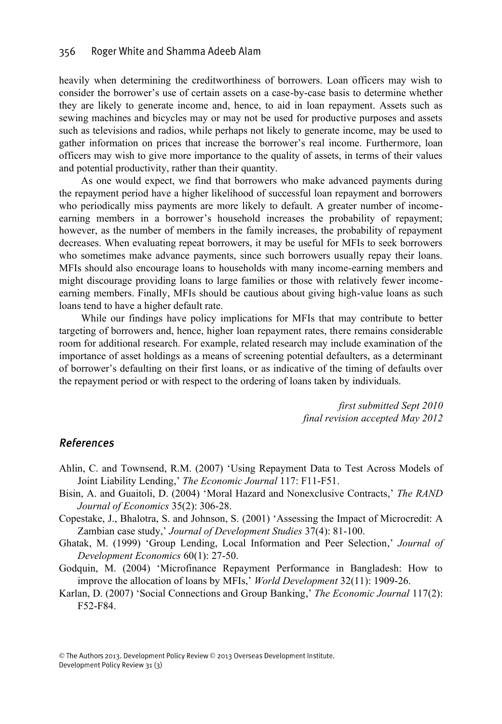heavily when determining the creditworthiness of borrowers. Loan officers may wish to consider the borrower's use of certain assets on a case-by-case basis to determine whether they are likely to generate income and, hence, to aid in loan repayment. Assets such as sewing machines and bicycles may or may not be used for productive purposes and assets such as televisions and radios, while perhaps not likely to generate income, may be used to gather information on prices that increase the borrower's real income. Furthermore, loan officers may wish to give more importance to the quality of assets, in terms of their values and potential productivity, rather than their quantity.

As one would expect, we find that borrowers who make advanced payments during the repayment period have a higher likelihood of successful loan repayment and borrowers who periodically miss payments are more likely to default. A greater number of incomeearning members in a borrower's household increases the probability of repayment; however, as the number of members in the family increases, the probability of repayment decreases. When evaluating repeat borrowers, it may be useful for MFIs to seek borrowers who sometimes make advance payments, since such borrowers usually repay their loans. MFIs should also encourage loans to households with many income-earning members and might discourage providing loans to large families or those with relatively fewer incomeearning members. Finally, MFIs should be cautious about giving high-value loans as such loans tend to have a higher default rate.

While our findings have policy implications for MFIs that may contribute to better targeting of borrowers and, hence, higher loan repayment rates, there remains considerable room for additional research. For example, related research may include examination of the importance of asset holdings as a means of screening potential defaulters, as a determinant of borrower's defaulting on their first loans, or as indicative of the timing of defaults over the repayment period or with respect to the ordering of loans taken by individuals.

> *first submitted Sept 2010 final revision accepted May 2012*

### **References**

- Ahlin, C. and Townsend, R.M. (2007) 'Using Repayment Data to Test Across Models of Joint Liability Lending,' *The Economic Journal* 117: F11-F51.
- Bisin, A. and Guaitoli, D. (2004) 'Moral Hazard and Nonexclusive Contracts,' *The RAND Journal of Economics* 35(2): 306-28.
- Copestake, J., Bhalotra, S. and Johnson, S. (2001) 'Assessing the Impact of Microcredit: A Zambian case study,' *Journal of Development Studies* 37(4): 81-100.
- Ghatak, M. (1999) 'Group Lending, Local Information and Peer Selection,' *Journal of Development Economics* 60(1): 27-50.
- Godquin, M. (2004) 'Microfinance Repayment Performance in Bangladesh: How to improve the allocation of loans by MFIs,' *World Development* 32(11): 1909-26.
- Karlan, D. (2007) 'Social Connections and Group Banking,' *The Economic Journal* 117(2): F52-F84.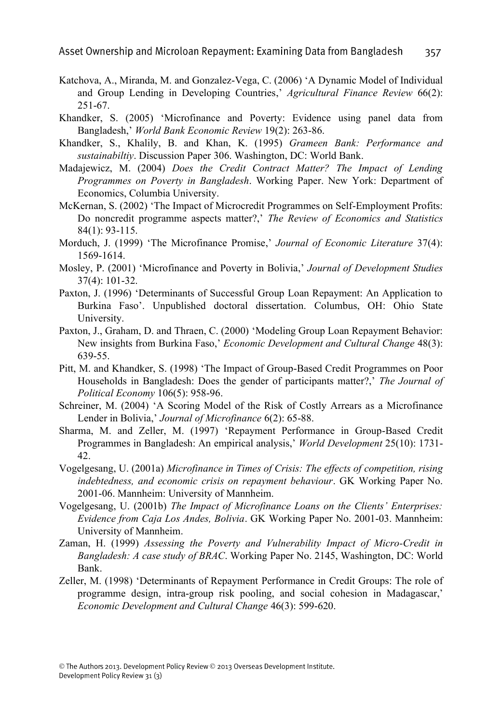- Katchova, A., Miranda, M. and Gonzalez-Vega, C. (2006) 'A Dynamic Model of Individual and Group Lending in Developing Countries,' *Agricultural Finance Review* 66(2): 251-67.
- Khandker, S. (2005) 'Microfinance and Poverty: Evidence using panel data from Bangladesh,' *World Bank Economic Review* 19(2): 263-86.
- Khandker, S., Khalily, B. and Khan, K. (1995) *Grameen Bank: Performance and sustainabiltiy*. Discussion Paper 306. Washington, DC: World Bank.
- Madajewicz, M. (2004) *Does the Credit Contract Matter? The Impact of Lending Programmes on Poverty in Bangladesh*. Working Paper. New York: Department of Economics, Columbia University.
- McKernan, S. (2002) 'The Impact of Microcredit Programmes on Self-Employment Profits: Do noncredit programme aspects matter?,' *The Review of Economics and Statistics* 84(1): 93-115.
- Morduch, J. (1999) 'The Microfinance Promise,' *Journal of Economic Literature* 37(4): 1569-1614.
- Mosley, P. (2001) 'Microfinance and Poverty in Bolivia,' *Journal of Development Studies* 37(4): 101-32.
- Paxton, J. (1996) 'Determinants of Successful Group Loan Repayment: An Application to Burkina Faso'. Unpublished doctoral dissertation. Columbus, OH: Ohio State University.
- Paxton, J., Graham, D. and Thraen, C. (2000) 'Modeling Group Loan Repayment Behavior: New insights from Burkina Faso,' *Economic Development and Cultural Change* 48(3): 639-55.
- Pitt, M. and Khandker, S. (1998) 'The Impact of Group-Based Credit Programmes on Poor Households in Bangladesh: Does the gender of participants matter?,' *The Journal of Political Economy* 106(5): 958-96.
- Schreiner, M. (2004) 'A Scoring Model of the Risk of Costly Arrears as a Microfinance Lender in Bolivia,' *Journal of Microfinance* 6(2): 65-88.
- Sharma, M. and Zeller, M. (1997) 'Repayment Performance in Group-Based Credit Programmes in Bangladesh: An empirical analysis,' *World Development* 25(10): 1731- 42.
- Vogelgesang, U. (2001a) *Microfinance in Times of Crisis: The effects of competition, rising indebtedness, and economic crisis on repayment behaviour*. GK Working Paper No. 2001-06. Mannheim: University of Mannheim.
- Vogelgesang, U. (2001b) *The Impact of Microfinance Loans on the Clients' Enterprises: Evidence from Caja Los Andes, Bolivia*. GK Working Paper No. 2001-03. Mannheim: University of Mannheim.
- Zaman, H. (1999) *Assessing the Poverty and Vulnerability Impact of Micro-Credit in Bangladesh: A case study of BRAC*. Working Paper No. 2145, Washington, DC: World Bank.
- Zeller, M. (1998) 'Determinants of Repayment Performance in Credit Groups: The role of programme design, intra-group risk pooling, and social cohesion in Madagascar,' *Economic Development and Cultural Change* 46(3): 599-620.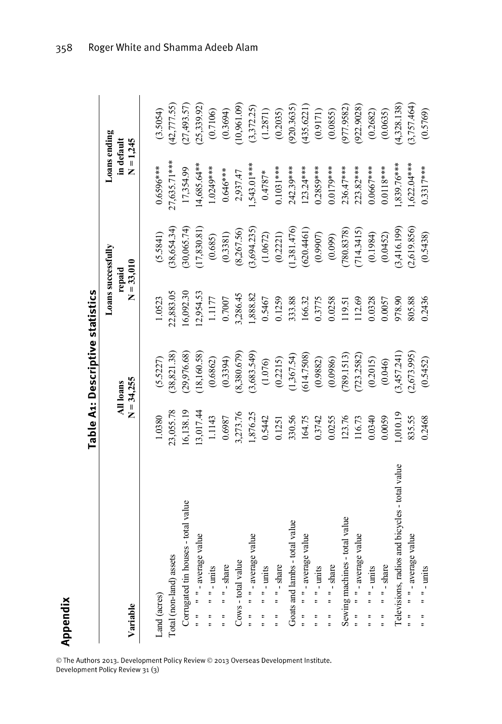|                                                                                                                                                                                                                                                                                                                                                                 |           | Table A1: Descriptive statistics |                        |              |                           |              |
|-----------------------------------------------------------------------------------------------------------------------------------------------------------------------------------------------------------------------------------------------------------------------------------------------------------------------------------------------------------------|-----------|----------------------------------|------------------------|--------------|---------------------------|--------------|
|                                                                                                                                                                                                                                                                                                                                                                 |           |                                  | Loans successfully     |              | Loans ending              |              |
| Variable                                                                                                                                                                                                                                                                                                                                                        |           | $N = 34,255$<br><b>All loans</b> | $N = 33,010$<br>repaid |              | $N = 1,245$<br>in default |              |
|                                                                                                                                                                                                                                                                                                                                                                 |           |                                  |                        |              |                           |              |
| Land (acres)                                                                                                                                                                                                                                                                                                                                                    | 1.0380    | (5.5227)                         | 1.0523                 | (5.5841)     | 0.6596***                 | (3.5054)     |
| Total (non-land) assets                                                                                                                                                                                                                                                                                                                                         | 23,055.78 | (38, 821.38)                     | 22,883.05              | (38, 654.34) | 27,635.71***              | (42, 777.55) |
|                                                                                                                                                                                                                                                                                                                                                                 | 16,138.19 | (29, 976.68)                     | 6,092.30               | (30,065.74)  | 17,354.99                 | (27, 493.57) |
| Corrugated tin houses - total value<br>" $\degree$ " - average value                                                                                                                                                                                                                                                                                            | 13,017.44 | 18,160.58                        | 2,954.53               | 17,830.81    | 14,685.64**               | (25, 339.92) |
| $n + n - n -$ units                                                                                                                                                                                                                                                                                                                                             | 1.1143    | (0.6862)                         | 1.1177                 | (0.685)      | 1.0249***                 | (0.7106)     |
| $n + 1$ $n - 1$ share                                                                                                                                                                                                                                                                                                                                           | 0.6987    | (0.3394)                         | 0.7007                 | (0.3381)     | $0.646***$                | (0.3694)     |
| Cows-total value                                                                                                                                                                                                                                                                                                                                                | 3,273.76  | (8,380.679)                      | 3,286.45               | (8,267.56)   | 2,937.47                  | (10,961.09)  |
| $\cdots$ $\cdots$ $\cdots$ $\cdots$ average value                                                                                                                                                                                                                                                                                                               | 1,876.25  | (3,683.549)                      | .,888.82               | (3,694.235)  | ,543.01 ***               | (3,372.25)   |
| $\cdots$ $\cdots$ $\cdots$ units                                                                                                                                                                                                                                                                                                                                | 0.5442    | (1.076)                          | 0.5467                 | (1.0672)     | $0.4787*$                 | (1.2871)     |
| $\cdots$ $\cdots$ $\cdots$ share                                                                                                                                                                                                                                                                                                                                | 0.1251    | (0.2215)                         | 0.1259                 | (0.2221)     | $0.1031***$               | (0.2035)     |
| Goats and lambs - total value $\cdots$ $\cdots$ $\cdots$ $\cdots$ average value                                                                                                                                                                                                                                                                                 | 330.56    | (1,367.54)                       | 333.88                 | 1,381.476)   | 242.39***                 | (920.3635)   |
|                                                                                                                                                                                                                                                                                                                                                                 | 164.75    | (614.7508)                       | 166.32                 | (620.4461)   | $123.24***$               | (435.6221)   |
| $\cdots$ $\cdots$ $\cdots$ units                                                                                                                                                                                                                                                                                                                                | 0.3742    | (0.9882)                         | 0.3775                 | (0.9907)     | $0.2859***$               | (0.9171)     |
| $n \cdot n \cdot n - \text{share}$                                                                                                                                                                                                                                                                                                                              | 0.0255    | (0.0986)                         | 0.0258                 | (0.099)      | $0.0179***$               | (0.0855)     |
| total value<br>Sewing machines - total $v_1$<br>", ", ", average value                                                                                                                                                                                                                                                                                          | 123.76    | (789.1513)                       | 119.51                 | (80.8378)    | 236.47***                 | (977.9582)   |
|                                                                                                                                                                                                                                                                                                                                                                 | 116.73    | (723.2582)                       | 112.69                 | (714.3415)   | 223.82****                | (922.9028)   |
| $\cdots$ " " - units                                                                                                                                                                                                                                                                                                                                            | 0.0340    | (0.2015)                         | 0.0328                 | (0.1984)     | $0.0667***$               | (0.2682)     |
| $n \cdot n$ $n \cdot s$ hare                                                                                                                                                                                                                                                                                                                                    | 0.0059    | (0.046)                          | 0.0057                 | (0.0452)     | $0.0118***$               | (0.0635)     |
| and bicycles - total value                                                                                                                                                                                                                                                                                                                                      | 1,010.19  | (3,457.241)                      | 978.90                 | (3,416.199)  | 839.76***                 | (4,328.138)  |
| Televisions, radios and bicy $\mathfrak{n}$ $\mathfrak{n}$ $\mathfrak{n}$ $\mathfrak{n}$ $\mathfrak{n}$ $\mathfrak{n}$ $\mathfrak{n}$ $\mathfrak{n}$ $\mathfrak{n}$ $\mathfrak{n}$ $\mathfrak{n}$ $\mathfrak{n}$ $\mathfrak{n}$ $\mathfrak{n}$ $\mathfrak{n}$ $\mathfrak{n}$ $\mathfrak{n}$ $\mathfrak{n}$ $\mathfrak{n}$ $\mathfrak{n}$ $\mathfrak{n}$ $\math$ | 835.55    | (2,673.995)                      | 805.88                 | (2, 619.856) | 622.04***                 | (3,757.464)  |
| $\cdots$ $\cdots$ $\cdots$ units                                                                                                                                                                                                                                                                                                                                | 0.2468    | (0.5452)                         | 0.2436                 | (0.5438)     | $0.3317***$               | (0.5769)     |

 $\circledcirc$  The Authors 2013. Development Policy Review  $\circledcirc$ Development Policy Review 31 (3)

Appendix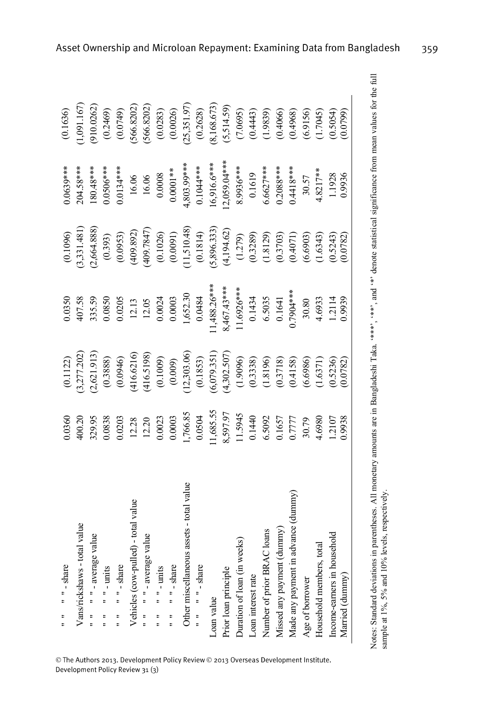| $n + n + n - s$ have                                                                                                                                                                                                                                                                                                                                                                                                                                                                         | 0.0360                                                                                                     | (0.1122)                                                                                                                                                                                                      | 0.0350                                                                                  | (0.1096)                                                                                                                                                         | $0.0639***$                                                                                  | (0.1636)                                                                                                                                                                                                                                                                                                   |
|----------------------------------------------------------------------------------------------------------------------------------------------------------------------------------------------------------------------------------------------------------------------------------------------------------------------------------------------------------------------------------------------------------------------------------------------------------------------------------------------|------------------------------------------------------------------------------------------------------------|---------------------------------------------------------------------------------------------------------------------------------------------------------------------------------------------------------------|-----------------------------------------------------------------------------------------|------------------------------------------------------------------------------------------------------------------------------------------------------------------|----------------------------------------------------------------------------------------------|------------------------------------------------------------------------------------------------------------------------------------------------------------------------------------------------------------------------------------------------------------------------------------------------------------|
| tal value<br>Vans/rickshaws - total value<br>" " " " - average value                                                                                                                                                                                                                                                                                                                                                                                                                         | 400.20<br>329.95                                                                                           | (3,277.202)                                                                                                                                                                                                   |                                                                                         | (3,331,481)                                                                                                                                                      | $204.58***$<br>$180.48***$                                                                   | 1,091.167                                                                                                                                                                                                                                                                                                  |
|                                                                                                                                                                                                                                                                                                                                                                                                                                                                                              |                                                                                                            | (2, 621.913)                                                                                                                                                                                                  |                                                                                         | (2,664.888)                                                                                                                                                      |                                                                                              | (910.0262)                                                                                                                                                                                                                                                                                                 |
| $\frac{1}{n}$ $\frac{n}{n}$ $\frac{n}{n}$ units                                                                                                                                                                                                                                                                                                                                                                                                                                              |                                                                                                            |                                                                                                                                                                                                               |                                                                                         |                                                                                                                                                                  | $0.0506***$                                                                                  |                                                                                                                                                                                                                                                                                                            |
| $n + 1$ $n + 1$ share                                                                                                                                                                                                                                                                                                                                                                                                                                                                        |                                                                                                            |                                                                                                                                                                                                               |                                                                                         |                                                                                                                                                                  | $0.0134***$                                                                                  |                                                                                                                                                                                                                                                                                                            |
| Vehicles (cow-pulled) - total value<br>" " " - average value                                                                                                                                                                                                                                                                                                                                                                                                                                 | $\begin{array}{c} 0.0838 \\ 0.0203 \\ 12.28 \\ 12.20 \\ 0.0003 \\ 0.0003 \\ 1.766.85 \\ 0.034 \end{array}$ |                                                                                                                                                                                                               | 407.58<br>335.59<br>0.0850<br>0.0205<br>12.13<br>12.05<br>0.0003<br>0.0003<br>1,652.30  | $\begin{array}{c} (0.393) \\ (0.0953) \\ (409.892) \\ (409.7847) \\ (0.1026) \\ (0.1026) \\ (0.0091) \\ (1.510.48) \\ (1.1510.48) \\ (1.1510.48) \\ \end{array}$ | $\begin{array}{r} 16.06 \\ 16.06 \\ 0.0008 \\ 0.0008 \end{array}$                            | $\begin{array}{c} (0.2469) \\ (0.0749) \\ (566.8202) \\ (566.8202) \end{array}$                                                                                                                                                                                                                            |
|                                                                                                                                                                                                                                                                                                                                                                                                                                                                                              |                                                                                                            |                                                                                                                                                                                                               |                                                                                         |                                                                                                                                                                  |                                                                                              |                                                                                                                                                                                                                                                                                                            |
| $\begin{array}{ccc}\n 1 & \text{if } & \text{if } & \text{if } \\  1 & \text{if } & \text{if } & \text{if } \\  1 & \text{if } & \text{if } & \text{if } & \text{if } \\  1 & \text{if } & \text{if } & \text{if } & \text{if } & \text{if } \\  1 & \text{if } & \text{if } & \text{if } & \text{if } & \text{if } & \text{if } \\  1 & \text{if } & \text{if } & \text{if } & \text{if } & \text{if } & \text{if } & \text{if } & \text{if } \\  1 & \text{if } & \text{if } & \text{if }$ |                                                                                                            |                                                                                                                                                                                                               |                                                                                         |                                                                                                                                                                  |                                                                                              |                                                                                                                                                                                                                                                                                                            |
|                                                                                                                                                                                                                                                                                                                                                                                                                                                                                              |                                                                                                            |                                                                                                                                                                                                               |                                                                                         |                                                                                                                                                                  |                                                                                              |                                                                                                                                                                                                                                                                                                            |
| Other miscellaneous assets - total value                                                                                                                                                                                                                                                                                                                                                                                                                                                     |                                                                                                            |                                                                                                                                                                                                               |                                                                                         |                                                                                                                                                                  |                                                                                              |                                                                                                                                                                                                                                                                                                            |
| $\cdots$ " " - share                                                                                                                                                                                                                                                                                                                                                                                                                                                                         |                                                                                                            |                                                                                                                                                                                                               |                                                                                         |                                                                                                                                                                  |                                                                                              |                                                                                                                                                                                                                                                                                                            |
| Loan value                                                                                                                                                                                                                                                                                                                                                                                                                                                                                   |                                                                                                            |                                                                                                                                                                                                               |                                                                                         |                                                                                                                                                                  |                                                                                              |                                                                                                                                                                                                                                                                                                            |
| Prior loan principle                                                                                                                                                                                                                                                                                                                                                                                                                                                                         | 11,685.55<br>8,597.97<br>11.5945<br>10.1440<br>6.5092<br>0.1657<br>0.1777                                  | $(0.9888) \n(0.0946) \n(416.6216) \n(416.5198) \n(0.1009) \n(0.009) \n(0.009) \n(0.1853) \n(0.1853) \n(0.1852) \n(0.1992.507) \n(1.9096) \n(1.9026) \n(1.9196) \n(1.11819) \n(1.11819) \n(0.3718) \n(0.4158)$ | $11,488.26***$<br>8,467.43***<br>11.6926***<br>11.6926***<br>6.5035<br>6.5035<br>0.1641 | $\begin{array}{c} (5,896.333)\\ (4,194.62)\\ (1,279)\\ (0.3289)\\ (1.8129)\\ (1.8129)\\ (0.3703)\\ (0.3703)\\ (0.4071) \end{array}$                              | 4,803,99***<br>0.1044***<br>16,916.6****<br>12,059,04***<br>8.9936***<br>0.1619<br>6.6627*** | $\begin{array}{c} (0.0283) \\ (0.0026) \\ (25,351.97) \\ (0.2628) \\ (8,168.673) \\ (5,514.59) \\ (1.0695) \\ (1.9839) \\ (0.4443) \\ (0.4066) \\ (0.4066) \\ (0.4068) \\ (0.4068) \\ (0.4068) \\ (0.4068) \\ (0.4068) \\ (0.4068) \\ (0.4068) \\ (0.4068) \\ (0.4068) \\ (0.4068) \\ (0.4068) \\ (0.4068$ |
| Duration of loan (in weeks)                                                                                                                                                                                                                                                                                                                                                                                                                                                                  |                                                                                                            |                                                                                                                                                                                                               |                                                                                         |                                                                                                                                                                  |                                                                                              |                                                                                                                                                                                                                                                                                                            |
| Loan interest rate                                                                                                                                                                                                                                                                                                                                                                                                                                                                           |                                                                                                            |                                                                                                                                                                                                               |                                                                                         |                                                                                                                                                                  |                                                                                              |                                                                                                                                                                                                                                                                                                            |
| Number of prior BRAC loans                                                                                                                                                                                                                                                                                                                                                                                                                                                                   |                                                                                                            |                                                                                                                                                                                                               |                                                                                         |                                                                                                                                                                  |                                                                                              |                                                                                                                                                                                                                                                                                                            |
| Missed any payment (dummy)                                                                                                                                                                                                                                                                                                                                                                                                                                                                   |                                                                                                            |                                                                                                                                                                                                               |                                                                                         |                                                                                                                                                                  | $0.2088***$                                                                                  |                                                                                                                                                                                                                                                                                                            |
| Made any payment in advance (dummy)                                                                                                                                                                                                                                                                                                                                                                                                                                                          |                                                                                                            |                                                                                                                                                                                                               |                                                                                         |                                                                                                                                                                  | $0.4418***$<br>30.57                                                                         |                                                                                                                                                                                                                                                                                                            |
| Age of borrower                                                                                                                                                                                                                                                                                                                                                                                                                                                                              |                                                                                                            | (6.6986)                                                                                                                                                                                                      | $\begin{array}{c} 30.80 \\ 4.6933 \\ 1.2114 \\ 0.9939 \end{array}$                      | (6.6903)                                                                                                                                                         |                                                                                              |                                                                                                                                                                                                                                                                                                            |
| Household members, total                                                                                                                                                                                                                                                                                                                                                                                                                                                                     | 4.6980                                                                                                     | (1.6371)                                                                                                                                                                                                      |                                                                                         | (1.6343)                                                                                                                                                         | $4.8217**$                                                                                   | (1.7045)                                                                                                                                                                                                                                                                                                   |
| Income-earners in household                                                                                                                                                                                                                                                                                                                                                                                                                                                                  | 1.2107                                                                                                     | (0.5236)                                                                                                                                                                                                      |                                                                                         | (0.5243)                                                                                                                                                         | 1.1928<br>0.9936                                                                             | (0.5054)                                                                                                                                                                                                                                                                                                   |
| Married (dummy)                                                                                                                                                                                                                                                                                                                                                                                                                                                                              |                                                                                                            | (0.0782)                                                                                                                                                                                                      |                                                                                         | (0.0782)                                                                                                                                                         |                                                                                              | (0.0799)                                                                                                                                                                                                                                                                                                   |
|                                                                                                                                                                                                                                                                                                                                                                                                                                                                                              |                                                                                                            |                                                                                                                                                                                                               |                                                                                         |                                                                                                                                                                  |                                                                                              |                                                                                                                                                                                                                                                                                                            |

 $\circledcirc$  The Authors 2013. Development Policy Review  $\circledcirc$ Development Policy Review 31 (3)

Notes: Standard deviations in parentheses. All monetary amounts are in Bangladeshi Taka. '\*\*\*', '\*\*', and '\*' denote statistical significance from mean values for the full

Notes: Standard deviations in parentheses. All monetary amounts are in Bangladeshi Taka. '\*\*\*\*, and '\*' denote statistical significance from mean values for the full

sample at 1%, 5% and 10% levels, respectively.

sample at 1%, 5% and 10% levels, respectively.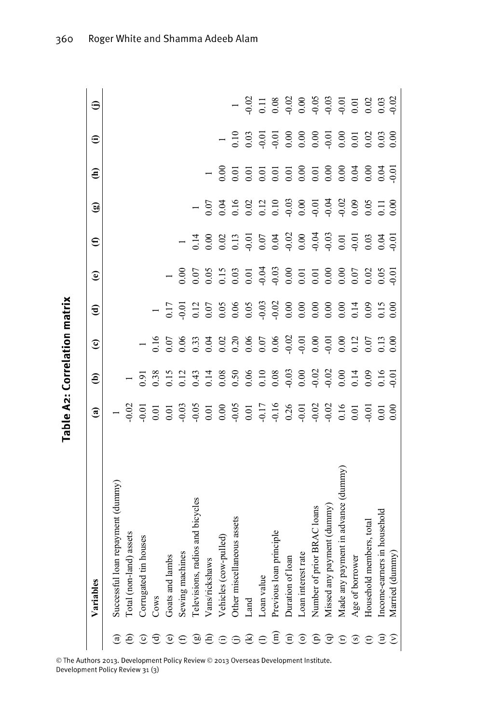|                                              | Variables                            | $\widehat{\mathbf{a}}$ | ව | $\mathbf{c}$ | ਰ | $\mathbf{\widehat{e}}$ | $\widehat{\epsilon}$                                                              | ⊛                                                                                                                                                                                                                                                                                                             | $\widehat{\mathbf{e}}$            | $\widehat{\epsilon}$ | €                                                                                                                                                      |
|----------------------------------------------|--------------------------------------|------------------------|---|--------------|---|------------------------|-----------------------------------------------------------------------------------|---------------------------------------------------------------------------------------------------------------------------------------------------------------------------------------------------------------------------------------------------------------------------------------------------------------|-----------------------------------|----------------------|--------------------------------------------------------------------------------------------------------------------------------------------------------|
| ලු $\widehat{\mathbf{g}}$                    | Successful loan repayment (dummy)    |                        |   |              |   |                        |                                                                                   |                                                                                                                                                                                                                                                                                                               |                                   |                      |                                                                                                                                                        |
| E                                            | Total (non-land) assets              |                        |   |              |   |                        |                                                                                   |                                                                                                                                                                                                                                                                                                               |                                   |                      |                                                                                                                                                        |
| $\widehat{\circ}$                            | Corrugated tin houses                |                        |   |              |   |                        |                                                                                   |                                                                                                                                                                                                                                                                                                               |                                   |                      |                                                                                                                                                        |
| ਦੇ                                           | Cows                                 |                        |   |              |   |                        |                                                                                   |                                                                                                                                                                                                                                                                                                               |                                   |                      |                                                                                                                                                        |
| $\widehat{\mathbf{e}}$                       | Goats and lambs                      |                        |   |              |   |                        |                                                                                   |                                                                                                                                                                                                                                                                                                               |                                   |                      |                                                                                                                                                        |
|                                              | Sewing machines                      |                        |   |              |   |                        |                                                                                   |                                                                                                                                                                                                                                                                                                               |                                   |                      |                                                                                                                                                        |
| $\circledcirc$                               | s and bicycles<br>Televisions, radio |                        |   |              |   |                        | - 3<br>- 3 3 3 3 5 5 4 6 6 6 7 6 7 6 7 6 7<br>- 3 6 6 6 6 6 6 6 6 6 6 6 6 6 6 6 6 |                                                                                                                                                                                                                                                                                                               |                                   |                      |                                                                                                                                                        |
| E                                            | Vans/rickshaws                       |                        |   |              |   |                        |                                                                                   |                                                                                                                                                                                                                                                                                                               |                                   |                      |                                                                                                                                                        |
|                                              | lled)<br>Vehicles (cow-pu            |                        |   |              |   |                        |                                                                                   |                                                                                                                                                                                                                                                                                                               |                                   |                      |                                                                                                                                                        |
| $\widehat{\Xi}$                              | Other miscellaneous assets           |                        |   |              |   |                        |                                                                                   |                                                                                                                                                                                                                                                                                                               |                                   |                      |                                                                                                                                                        |
|                                              | Land                                 |                        |   |              |   |                        |                                                                                   |                                                                                                                                                                                                                                                                                                               |                                   |                      |                                                                                                                                                        |
| $\mathfrak{S} \oplus \widehat{\mathfrak{g}}$ | Loan value                           |                        |   |              |   |                        |                                                                                   |                                                                                                                                                                                                                                                                                                               |                                   |                      |                                                                                                                                                        |
|                                              | nciple<br>Previous loan pri          |                        |   |              |   |                        |                                                                                   |                                                                                                                                                                                                                                                                                                               |                                   |                      |                                                                                                                                                        |
| $\widehat{\Xi}$                              | Duration of loan                     |                        |   |              |   |                        |                                                                                   |                                                                                                                                                                                                                                                                                                               |                                   |                      |                                                                                                                                                        |
| $\odot$                                      | Loan interest rate                   |                        |   |              |   |                        |                                                                                   |                                                                                                                                                                                                                                                                                                               |                                   |                      |                                                                                                                                                        |
| $\widehat{\mathbf{e}}$                       | <b>BRAC</b> loans<br>Number of prior |                        |   |              |   |                        |                                                                                   |                                                                                                                                                                                                                                                                                                               |                                   |                      |                                                                                                                                                        |
| $\widehat{\mathbf{e}}$                       | ent (dummy<br>Missed any paym        |                        |   |              |   |                        |                                                                                   |                                                                                                                                                                                                                                                                                                               |                                   |                      |                                                                                                                                                        |
| $\widehat{\Xi}$                              | Made any payment in advance (dummy)  |                        |   |              |   |                        |                                                                                   | $\begin{array}{c} 1.5 \\ 1.5 \\ 0.01 \\ 0.01 \\ 0.01 \\ 0.01 \\ 0.01 \\ 0.01 \\ 0.01 \\ 0.00 \\ 0.00 \\ 0.00 \\ 0.00 \\ 0.00 \\ 0.00 \\ 0.00 \\ 0.00 \\ 0.00 \\ 0.00 \\ 0.00 \\ 0.00 \\ 0.00 \\ 0.00 \\ 0.00 \\ 0.00 \\ 0.00 \\ 0.00 \\ 0.00 \\ 0.00 \\ 0.00 \\ 0.00 \\ 0.00 \\ 0.00 \\ 0.00 \\ 0.00 \\ 0.00$ | - 8 5 5 5 5 5 6 6 6 8 8 8 8 8 7 6 |                      | $-0.02$<br>$-0.03$<br>$-0.05$<br>$-0.05$<br>$-0.05$<br>$-0.05$<br>$-0.05$<br>$-0.05$<br>$-0.05$<br>$-0.05$<br>$-0.05$<br>$-0.05$<br>$-0.05$<br>$-0.05$ |
| $\odot$                                      | Age of borrower                      |                        |   |              |   |                        |                                                                                   |                                                                                                                                                                                                                                                                                                               |                                   |                      |                                                                                                                                                        |
|                                              | Household members, total             |                        |   |              |   |                        |                                                                                   |                                                                                                                                                                                                                                                                                                               |                                   |                      |                                                                                                                                                        |
| ਤਿ                                           | Income-earners in household          |                        |   |              |   |                        |                                                                                   |                                                                                                                                                                                                                                                                                                               |                                   |                      |                                                                                                                                                        |
| $\widehat{\epsilon}$                         | Married (dummy)                      |                        |   |              |   |                        |                                                                                   |                                                                                                                                                                                                                                                                                                               |                                   |                      |                                                                                                                                                        |

Table A2: Correlation matrix

 $\circledcirc$  The Authors 2013. Development Policy Review  $\circledcirc$ Development Policy Review 31 (3)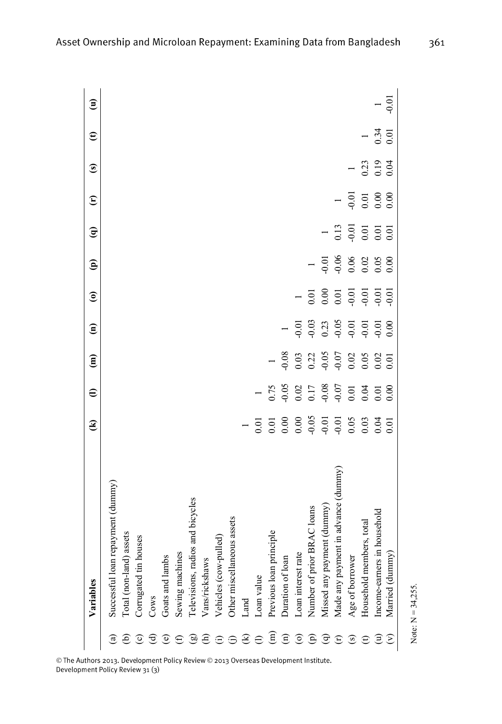|                              | Variables                            | $\mathfrak{D}$ | $\widehat{=}$                                                                                                                                                                                                                                                                                                   | $\widehat{\mathbf{E}}$ | $\widehat{\mathbf{e}}$                                                                                                                                                                               | $\widehat{\mathbf{e}}$                                                                                                                                                                                                                                                                              | $\widehat{\mathbf{e}}$                                                    | $\widehat{\mathbf{e}}$                                                         | $\widehat{\epsilon}$        | $\odot$                    | $\widehat{\epsilon}$ | $\widehat{\Xi}$ |
|------------------------------|--------------------------------------|----------------|-----------------------------------------------------------------------------------------------------------------------------------------------------------------------------------------------------------------------------------------------------------------------------------------------------------------|------------------------|------------------------------------------------------------------------------------------------------------------------------------------------------------------------------------------------------|-----------------------------------------------------------------------------------------------------------------------------------------------------------------------------------------------------------------------------------------------------------------------------------------------------|---------------------------------------------------------------------------|--------------------------------------------------------------------------------|-----------------------------|----------------------------|----------------------|-----------------|
| $\widehat{\mathbf{e}}$       | repayment (dummy)<br>Successful loan |                |                                                                                                                                                                                                                                                                                                                 |                        |                                                                                                                                                                                                      |                                                                                                                                                                                                                                                                                                     |                                                                           |                                                                                |                             |                            |                      |                 |
| ê                            | ) assets<br>Total (non-land)         |                |                                                                                                                                                                                                                                                                                                                 |                        |                                                                                                                                                                                                      |                                                                                                                                                                                                                                                                                                     |                                                                           |                                                                                |                             |                            |                      |                 |
| $\odot$                      | Corrugated tin houses                |                |                                                                                                                                                                                                                                                                                                                 |                        |                                                                                                                                                                                                      |                                                                                                                                                                                                                                                                                                     |                                                                           |                                                                                |                             |                            |                      |                 |
| ਰਿ                           | Cows                                 |                |                                                                                                                                                                                                                                                                                                                 |                        |                                                                                                                                                                                                      |                                                                                                                                                                                                                                                                                                     |                                                                           |                                                                                |                             |                            |                      |                 |
| $\circledcirc$               | Goats and lambs                      |                |                                                                                                                                                                                                                                                                                                                 |                        |                                                                                                                                                                                                      |                                                                                                                                                                                                                                                                                                     |                                                                           |                                                                                |                             |                            |                      |                 |
| $\boldsymbol{\oplus}$        | Se<br>Sewing machino                 |                |                                                                                                                                                                                                                                                                                                                 |                        |                                                                                                                                                                                                      |                                                                                                                                                                                                                                                                                                     |                                                                           |                                                                                |                             |                            |                      |                 |
| $\circledcirc$               | Televisions, radios and bicycles     |                |                                                                                                                                                                                                                                                                                                                 |                        |                                                                                                                                                                                                      |                                                                                                                                                                                                                                                                                                     |                                                                           |                                                                                |                             |                            |                      |                 |
| $\bigoplus$                  | Vans/rickshaws                       |                |                                                                                                                                                                                                                                                                                                                 |                        |                                                                                                                                                                                                      |                                                                                                                                                                                                                                                                                                     |                                                                           |                                                                                |                             |                            |                      |                 |
|                              | Vehicles (cow-pulled)                |                |                                                                                                                                                                                                                                                                                                                 |                        |                                                                                                                                                                                                      |                                                                                                                                                                                                                                                                                                     |                                                                           |                                                                                |                             |                            |                      |                 |
| $\widehat{\sigma}$           | eous assets<br>Other miscellan       |                |                                                                                                                                                                                                                                                                                                                 |                        |                                                                                                                                                                                                      |                                                                                                                                                                                                                                                                                                     |                                                                           |                                                                                |                             |                            |                      |                 |
| $\mathfrak{S} \ominus$       | Land                                 |                |                                                                                                                                                                                                                                                                                                                 |                        |                                                                                                                                                                                                      |                                                                                                                                                                                                                                                                                                     |                                                                           |                                                                                |                             |                            |                      |                 |
|                              | Loan value                           |                |                                                                                                                                                                                                                                                                                                                 |                        |                                                                                                                                                                                                      |                                                                                                                                                                                                                                                                                                     |                                                                           |                                                                                |                             |                            |                      |                 |
| $\widehat{\Xi}$              | Previous loan principle              |                |                                                                                                                                                                                                                                                                                                                 |                        |                                                                                                                                                                                                      |                                                                                                                                                                                                                                                                                                     |                                                                           |                                                                                |                             |                            |                      |                 |
| $\widehat{\Xi}$              | Duration of loan                     |                |                                                                                                                                                                                                                                                                                                                 |                        |                                                                                                                                                                                                      |                                                                                                                                                                                                                                                                                                     |                                                                           |                                                                                |                             |                            |                      |                 |
| $\widehat{\odot}$            | Loan interest rate                   |                |                                                                                                                                                                                                                                                                                                                 |                        |                                                                                                                                                                                                      |                                                                                                                                                                                                                                                                                                     |                                                                           |                                                                                |                             |                            |                      |                 |
| $\mathbf{\hat{e}}$           | Number of prior BRAC loans           |                | $\begin{array}{r} 1 \\ 0.75 \\ 0.00 \\ 0.01 \\ 0.00 \\ 0.01 \\ 0.00 \\ 0.00 \\ 0.00 \\ 0.00 \\ 0.00 \\ 0.00 \\ 0.00 \\ 0.00 \\ 0.00 \\ 0.00 \\ 0.00 \\ 0.00 \\ 0.00 \\ 0.00 \\ 0.00 \\ 0.00 \\ 0.00 \\ 0.00 \\ 0.00 \\ 0.00 \\ 0.00 \\ 0.00 \\ 0.00 \\ 0.00 \\ 0.00 \\ 0.00 \\ 0.00 \\ 0.00 \\ 0.00 \\ 0.00 \\$ |                        | $ \frac{1}{9}$ $\frac{0}{9}$ $\frac{0}{9}$ $\frac{3}{9}$ $\frac{3}{9}$ $\frac{0}{9}$ $\frac{0}{9}$ $\frac{0}{9}$ $\frac{0}{9}$ $\frac{0}{9}$ $\frac{0}{9}$ $\frac{0}{9}$ $\frac{0}{9}$ $\frac{0}{9}$ |                                                                                                                                                                                                                                                                                                     |                                                                           |                                                                                |                             |                            |                      |                 |
| $\Theta$                     | Missed any payment (dummy)           |                |                                                                                                                                                                                                                                                                                                                 |                        |                                                                                                                                                                                                      | $\begin{array}{c} 0.01 \\ 0.000 \\ 0.010 \\ 0.010 \\ 0.010 \\ 0.010 \\ 0.010 \\ 0.010 \\ 0.010 \\ 0.010 \\ 0.010 \\ 0.010 \\ 0.010 \\ 0.010 \\ 0.010 \\ 0.010 \\ 0.010 \\ 0.010 \\ 0.010 \\ 0.010 \\ 0.010 \\ 0.010 \\ 0.010 \\ 0.010 \\ 0.010 \\ 0.010 \\ 0.010 \\ 0.010 \\ 0.010 \\ 0.010 \\ 0.0$ | $-0.01$<br>$-0.06$<br>$-0.06$<br>$-0.05$<br>$-0.05$<br>$-0.05$<br>$-0.05$ |                                                                                |                             |                            |                      |                 |
| $\boldsymbol{\widehat{\Xi}}$ | Made any payment in advance (dummy)  |                |                                                                                                                                                                                                                                                                                                                 |                        |                                                                                                                                                                                                      |                                                                                                                                                                                                                                                                                                     |                                                                           |                                                                                |                             |                            |                      |                 |
| $\circledS$                  | Age of borrower                      |                |                                                                                                                                                                                                                                                                                                                 |                        |                                                                                                                                                                                                      |                                                                                                                                                                                                                                                                                                     |                                                                           |                                                                                |                             | $\overline{\phantom{0}}$   |                      |                 |
| $\bigoplus$                  | nbers, total<br>Household mem        |                |                                                                                                                                                                                                                                                                                                                 |                        |                                                                                                                                                                                                      |                                                                                                                                                                                                                                                                                                     |                                                                           | $\begin{array}{c} 0.13 \\ 0.01 \\ 0.01 \\ 0.01 \\ 0.01 \\ 0.01 \\ \end{array}$ | $-0.01$<br>$0.00$<br>$0.00$ |                            |                      |                 |
| $\widehat{\Xi}$              | Income-earners in household          |                |                                                                                                                                                                                                                                                                                                                 |                        |                                                                                                                                                                                                      |                                                                                                                                                                                                                                                                                                     |                                                                           |                                                                                |                             | $0.23$<br>$0.19$<br>$0.04$ | 0.34                 |                 |
| $\mathfrak{D}$               | $\hat{\mathbf{y}}$<br>Married (dumm  |                |                                                                                                                                                                                                                                                                                                                 |                        |                                                                                                                                                                                                      |                                                                                                                                                                                                                                                                                                     |                                                                           |                                                                                |                             |                            |                      | $-0.01$         |
|                              |                                      |                |                                                                                                                                                                                                                                                                                                                 |                        |                                                                                                                                                                                                      |                                                                                                                                                                                                                                                                                                     |                                                                           |                                                                                |                             |                            |                      |                 |

Asset Ownership and Microloan Repayment: Examining Data from Bangladesh

 $\circledcirc$  The Authors 2013. Development Policy Review  $\circledcirc$ Development Policy Review 31 (3)

Note:  $N = 34,255$ .

Note:  $N = 34,255$ .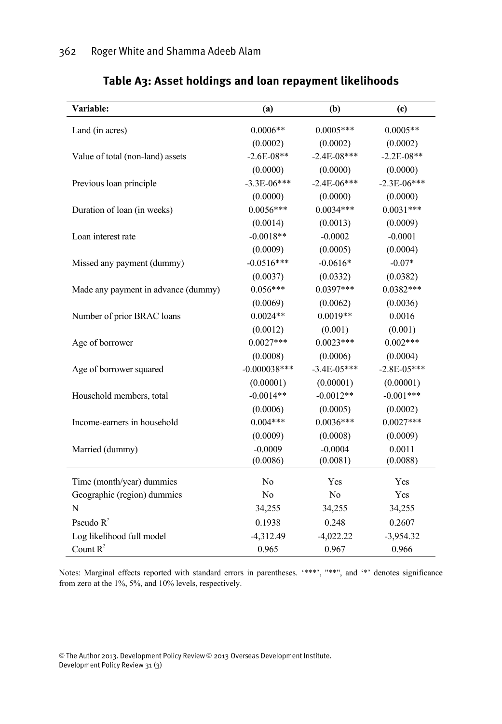| Variable:                           | (a)             | (b)             | $\left( \mathrm{c}\right)$ |
|-------------------------------------|-----------------|-----------------|----------------------------|
| Land (in acres)                     | $0.0006**$      | $0.0005***$     | $0.0005**$                 |
|                                     | (0.0002)        | (0.0002)        | (0.0002)                   |
| Value of total (non-land) assets    | $-2.6E-08**$    | $-2.4E-08***$   | $-2.2E - 08**$             |
|                                     | (0.0000)        | (0.0000)        | (0.0000)                   |
| Previous loan principle             | $-3.3E - 06***$ | $-2.4E - 06***$ | $-2.3E - 06***$            |
|                                     | (0.0000)        | (0.0000)        | (0.0000)                   |
| Duration of loan (in weeks)         | $0.0056***$     | $0.0034***$     | $0.0031***$                |
|                                     | (0.0014)        | (0.0013)        | (0.0009)                   |
| Loan interest rate                  | $-0.0018**$     | $-0.0002$       | $-0.0001$                  |
|                                     | (0.0009)        | (0.0005)        | (0.0004)                   |
| Missed any payment (dummy)          | $-0.0516***$    | $-0.0616*$      | $-0.07*$                   |
|                                     | (0.0037)        | (0.0332)        | (0.0382)                   |
| Made any payment in advance (dummy) | $0.056***$      | $0.0397***$     | $0.0382***$                |
|                                     | (0.0069)        | (0.0062)        | (0.0036)                   |
| Number of prior BRAC loans          | $0.0024**$      | $0.0019**$      | 0.0016                     |
|                                     | (0.0012)        | (0.001)         | (0.001)                    |
| Age of borrower                     | $0.0027***$     | $0.0023***$     | $0.002***$                 |
|                                     | (0.0008)        | (0.0006)        | (0.0004)                   |
| Age of borrower squared             | $-0.000038***$  | $-3.4E - 05***$ | $-2.8E - 05***$            |
|                                     | (0.00001)       | (0.00001)       | (0.00001)                  |
| Household members, total            | $-0.0014**$     | $-0.0012**$     | $-0.001***$                |
|                                     | (0.0006)        | (0.0005)        | (0.0002)                   |
| Income-earners in household         | $0.004***$      | $0.0036***$     | $0.0027***$                |
|                                     | (0.0009)        | (0.0008)        | (0.0009)                   |
| Married (dummy)                     | $-0.0009$       | $-0.0004$       | 0.0011                     |
|                                     | (0.0086)        | (0.0081)        | (0.0088)                   |
| Time (month/year) dummies           | No              | Yes             | Yes                        |
| Geographic (region) dummies         | N <sub>0</sub>  | N <sub>0</sub>  | Yes                        |
| N                                   | 34,255          | 34,255          | 34,255                     |
| Pseudo $R^2$                        | 0.1938          | 0.248           | 0.2607                     |
| Log likelihood full model           | $-4,312.49$     | $-4,022.22$     | $-3,954.32$                |
| Count $R^2$                         | 0.965           | 0.967           | 0.966                      |

### Table A3: Asset holdings and loan repayment likelihoods

Notes: Marginal effects reported with standard errors in parentheses. '\*\*\*', "\*\*", and '\*' denotes significance from zero at the 1%, 5%, and 10% levels, respectively.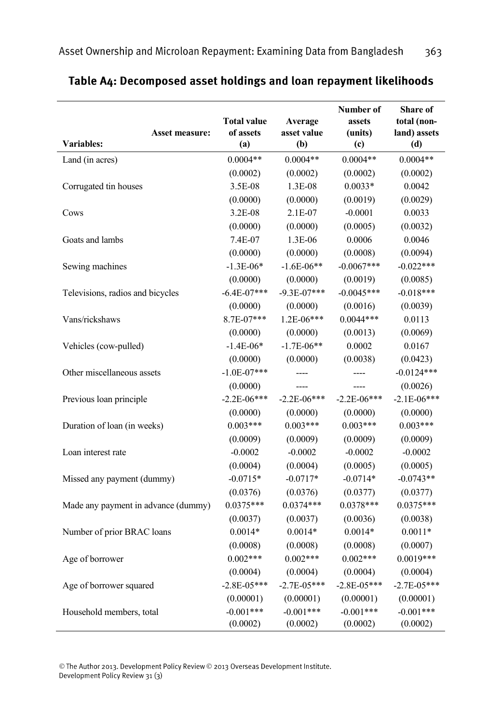| <b>Asset measure:</b>               | <b>Total value</b><br>of assets | Average<br>asset value | Number of<br>assets<br>(units) | Share of<br>total (non-<br>land) assets |
|-------------------------------------|---------------------------------|------------------------|--------------------------------|-----------------------------------------|
| Variables:                          | (a)                             | (b)                    | (c)                            | (d)                                     |
| Land (in acres)                     | $0.0004**$                      | $0.0004**$             | $0.0004**$                     | $0.0004**$                              |
|                                     | (0.0002)                        | (0.0002)               | (0.0002)                       | (0.0002)                                |
| Corrugated tin houses               | 3.5E-08                         | 1.3E-08                | $0.0033*$                      | 0.0042                                  |
|                                     | (0.0000)                        | (0.0000)               | (0.0019)                       | (0.0029)                                |
| Cows                                | 3.2E-08                         | 2.1E-07                | $-0.0001$                      | 0.0033                                  |
|                                     | (0.0000)                        | (0.0000)               | (0.0005)                       | (0.0032)                                |
| Goats and lambs                     | 7.4E-07                         | 1.3E-06                | 0.0006                         | 0.0046                                  |
|                                     | (0.0000)                        | (0.0000)               | (0.0008)                       | (0.0094)                                |
| Sewing machines                     | $-1.3E-06*$                     | $-1.6E-06**$           | $-0.0067***$                   | $-0.022***$                             |
|                                     | (0.0000)                        | (0.0000)               | (0.0019)                       | (0.0085)                                |
| Televisions, radios and bicycles    | $-6.4E - 07***$                 | $-9.3E - 07***$        | $-0.0045***$                   | $-0.018***$                             |
|                                     | (0.0000)                        | (0.0000)               | (0.0016)                       | (0.0039)                                |
| Vans/rickshaws                      | 8.7E-07***                      | $1.2E - 06***$         | $0.0044***$                    | 0.0113                                  |
|                                     | (0.0000)                        | (0.0000)               | (0.0013)                       | (0.0069)                                |
| Vehicles (cow-pulled)               | $-1.4E-06*$                     | $-1.7E - 06**$         | 0.0002                         | 0.0167                                  |
|                                     | (0.0000)                        | (0.0000)               | (0.0038)                       | (0.0423)                                |
| Other miscellaneous assets          | $-1.0E - 07***$                 | ----                   | ----                           | $-0.0124***$                            |
|                                     | (0.0000)                        |                        |                                | (0.0026)                                |
| Previous loan principle             | $-2.2E - 06***$                 | $-2.2E - 06***$        | $-2.2E - 06***$                | $-2.1E - 06***$                         |
|                                     | (0.0000)                        | (0.0000)               | (0.0000)                       | (0.0000)                                |
| Duration of loan (in weeks)         | $0.003***$                      | $0.003***$             | $0.003***$                     | $0.003***$                              |
|                                     | (0.0009)                        | (0.0009)               | (0.0009)                       | (0.0009)                                |
| Loan interest rate                  | $-0.0002$                       | $-0.0002$              | $-0.0002$                      | $-0.0002$                               |
|                                     | (0.0004)                        | (0.0004)               | (0.0005)                       | (0.0005)                                |
| Missed any payment (dummy)          | $-0.0715*$                      | $-0.0717*$             | $-0.0714*$                     | $-0.0743**$                             |
|                                     | (0.0376)                        | (0.0376)               | (0.0377)                       | (0.0377)                                |
| Made any payment in advance (dummy) | $0.0375***$                     | $0.0374***$            | $0.0378***$                    | $0.0375***$                             |
|                                     | (0.0037)                        | (0.0037)               | (0.0036)                       | (0.0038)                                |
| Number of prior BRAC loans          | $0.0014*$                       | $0.0014*$              | $0.0014*$                      | $0.0011*$                               |
|                                     | (0.0008)                        | (0.0008)               | (0.0008)                       | (0.0007)                                |
| Age of borrower                     | $0.002***$                      | $0.002***$             | $0.002***$                     | $0.0019***$                             |
|                                     | (0.0004)                        | (0.0004)               | (0.0004)                       | (0.0004)                                |
| Age of borrower squared             | $-2.8E - 05***$                 | $-2.7E - 05***$        | $-2.8E - 05***$                | $-2.7E - 05***$                         |
|                                     | (0.00001)                       | (0.00001)              | (0.00001)                      | (0.00001)                               |
| Household members, total            | $-0.001***$                     | $-0.001***$            | $-0.001***$                    | $-0.001***$                             |
|                                     | (0.0002)                        | (0.0002)               | (0.0002)                       | (0.0002)                                |

## Table A4: Decomposed asset holdings and loan repayment likelihoods

© The Author 2013. Development Policy Review © 2013 Overseas Development Institute. Development Policy Review 31 (3)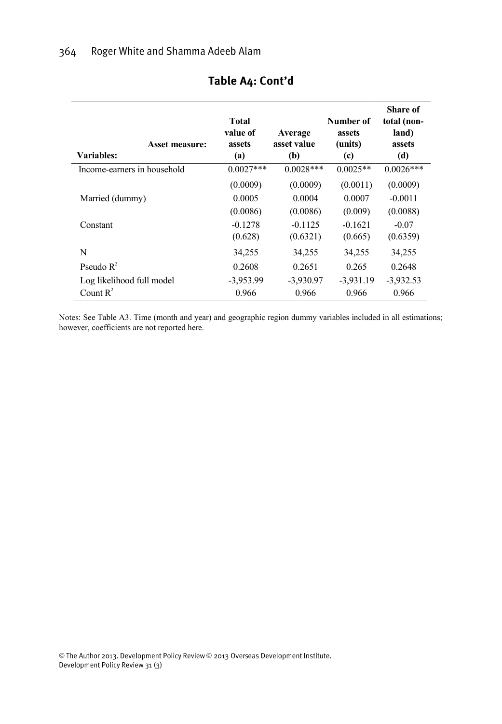| <b>Asset measure:</b><br>Variables: | Total<br>value of<br>assets<br>(a) | Average<br>asset value<br>(b) | Number of<br>assets<br>(units)<br>(c) | Share of<br>total (non-<br>land)<br>assets<br>(d) |
|-------------------------------------|------------------------------------|-------------------------------|---------------------------------------|---------------------------------------------------|
| Income-earners in household         | $0.0027$ ***                       | $0.0028***$                   | $0.0025**$                            | $0.0026$ ***                                      |
|                                     | (0.0009)                           | (0.0009)                      | (0.0011)                              | (0.0009)                                          |
| Married (dummy)                     | 0.0005                             | 0.0004                        | 0.0007                                | $-0.0011$                                         |
|                                     | (0.0086)                           | (0.0086)                      | (0.009)                               | (0.0088)                                          |
| Constant                            | $-0.1278$                          | $-0.1125$                     | $-0.1621$                             | $-0.07$                                           |
|                                     | (0.628)                            | (0.6321)                      | (0.665)                               | (0.6359)                                          |
| N                                   | 34,255                             | 34,255                        | 34,255                                | 34,255                                            |
| Pseudo $R^2$                        | 0.2608                             | 0.2651                        | 0.265                                 | 0.2648                                            |
| Log likelihood full model           | $-3.953.99$                        | $-3,930.97$                   | $-3,931.19$                           | $-3,932.53$                                       |
| Count $R^2$                         | 0.966                              | 0.966                         | 0.966                                 | 0.966                                             |

### Table A4: Cont'd

Notes: See Table A3. Time (month and year) and geographic region dummy variables included in all estimations; however, coefficients are not reported here.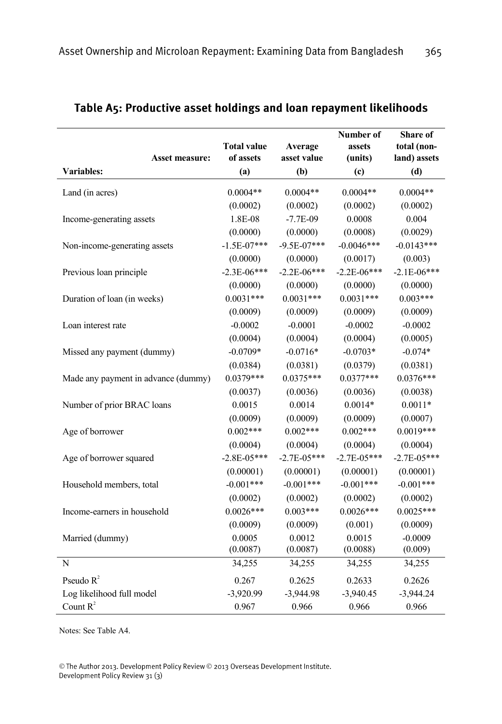| <b>Asset measure:</b>               | <b>Total value</b><br>of assets | Average<br>asset value | Number of<br>assets<br>(units) | Share of<br>total (non-<br>land) assets |
|-------------------------------------|---------------------------------|------------------------|--------------------------------|-----------------------------------------|
| Variables:                          | (a)                             | (b)                    | (c)                            | (d)                                     |
| Land (in acres)                     | $0.0004**$                      | $0.0004**$             | $0.0004**$                     | $0.0004**$                              |
|                                     | (0.0002)                        | (0.0002)               | (0.0002)                       | (0.0002)                                |
| Income-generating assets            | 1.8E-08                         | $-7.7E-09$             | 0.0008                         | 0.004                                   |
|                                     | (0.0000)                        | (0.0000)               | (0.0008)                       | (0.0029)                                |
| Non-income-generating assets        | $-1.5E - 07***$                 | $-9.5E - 07***$        | $-0.0046***$                   | $-0.0143***$                            |
|                                     | (0.0000)                        | (0.0000)               | (0.0017)                       | (0.003)                                 |
| Previous loan principle             | $-2.3E - 06***$                 | $-2.2E - 06***$        | $-2.2E - 06***$                | $-2.1E-06***$                           |
|                                     | (0.0000)                        | (0.0000)               | (0.0000)                       | (0.0000)                                |
| Duration of loan (in weeks)         | $0.0031***$                     | $0.0031***$            | $0.0031***$                    | $0.003***$                              |
|                                     | (0.0009)                        | (0.0009)               | (0.0009)                       | (0.0009)                                |
| Loan interest rate                  | $-0.0002$                       | $-0.0001$              | $-0.0002$                      | $-0.0002$                               |
|                                     | (0.0004)                        | (0.0004)               | (0.0004)                       | (0.0005)                                |
| Missed any payment (dummy)          | $-0.0709*$                      | $-0.0716*$             | $-0.0703*$                     | $-0.074*$                               |
|                                     | (0.0384)                        | (0.0381)               | (0.0379)                       | (0.0381)                                |
| Made any payment in advance (dummy) | $0.0379***$                     | $0.0375***$            | $0.0377***$                    | $0.0376***$                             |
|                                     | (0.0037)                        | (0.0036)               | (0.0036)                       | (0.0038)                                |
| Number of prior BRAC loans          | 0.0015                          | 0.0014                 | $0.0014*$                      | $0.0011*$                               |
|                                     | (0.0009)                        | (0.0009)               | (0.0009)                       | (0.0007)                                |
| Age of borrower                     | $0.002***$                      | $0.002***$             | $0.002***$                     | $0.0019***$                             |
|                                     | (0.0004)                        | (0.0004)               | (0.0004)                       | (0.0004)                                |
| Age of borrower squared             | $-2.8E - 05***$                 | $-2.7E - 05***$        | $-2.7E - 05***$                | $-2.7E - 05***$                         |
|                                     | (0.00001)                       | (0.00001)              | (0.00001)                      | (0.00001)                               |
| Household members, total            | $-0.001***$                     | $-0.001***$            | $-0.001***$                    | $-0.001***$                             |
|                                     | (0.0002)                        | (0.0002)               | (0.0002)                       | (0.0002)                                |
| Income-earners in household         | $0.0026***$                     | $0.003***$             | $0.0026***$                    | $0.0025***$                             |
|                                     | (0.0009)                        | (0.0009)               | (0.001)                        | (0.0009)                                |
| Married (dummy)                     | 0.0005                          | 0.0012                 | 0.0015                         | $-0.0009$                               |
|                                     | (0.0087)                        | (0.0087)               | (0.0088)                       | (0.009)                                 |
| $\mathbf N$                         | 34,255                          | 34,255                 | 34,255                         | 34,255                                  |
| Pseudo $R^2$                        | 0.267                           | 0.2625                 | 0.2633                         | 0.2626                                  |
| Log likelihood full model           | $-3,920.99$                     | $-3,944.98$            | $-3,940.45$                    | $-3,944.24$                             |
| Count $R^2$                         | 0.967                           | 0.966                  | 0.966                          | 0.966                                   |

### Table A5: Productive asset holdings and loan repayment likelihoods

Notes: See Table A4.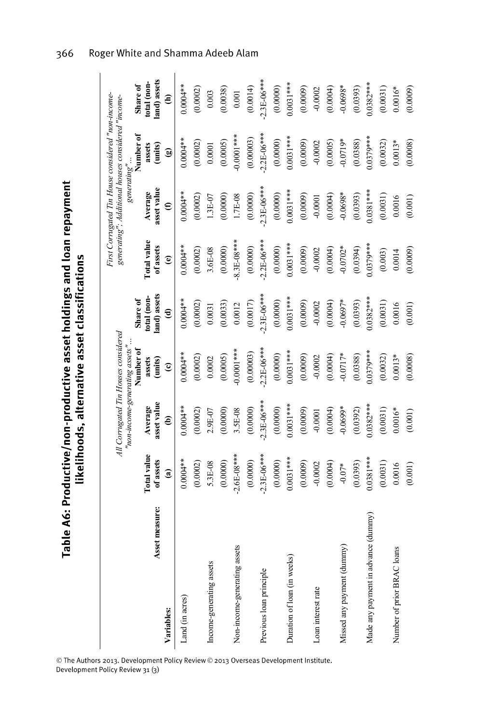Table A6: Productive/non-productive asset holdings and loan repayment likelihoods, alternative asset classifications

|                                     |                                 |                                                                        |                    |                            |                                 |                        | First Corrugated Tin House considered "non-income- |                            |
|-------------------------------------|---------------------------------|------------------------------------------------------------------------|--------------------|----------------------------|---------------------------------|------------------------|----------------------------------------------------|----------------------------|
|                                     |                                 | All Corrugated Tin Houses considered<br>"non-income-generating assets" |                    |                            |                                 | generating"            | generating"; Additional houses considered "income- |                            |
|                                     |                                 |                                                                        | Number of          | Share of                   |                                 |                        | Number of                                          | Share of                   |
| measure:<br><b>Asset</b>            | <b>Total value</b><br>of assets | asset value<br>Average                                                 | assets<br>(mnits)  | and) assets<br>total (non- | <b>Total value</b><br>of assets | asset value<br>Average | assets<br>(units)                                  | and) assets<br>total (non- |
| Variables:                          | $\widehat{\mathbf{a}}$          | ê                                                                      | $\hat{\mathbf{c}}$ | ਰ                          | $\widehat{\mathbf{e}}$          | $\widehat{\epsilon}$   | $\mathbf{\widehat{e}}$                             | €                          |
| Land (in acres)                     | $0.0004**$                      | $0.0004**$                                                             | $0.0004**$         | $0.0004**$                 | $0.0004**$                      | $0.0004**$             | $0.0004**$                                         | $0.0004**$                 |
|                                     | (0.0002)                        | (0.0002)                                                               | (0.0002)           | (0.0002)                   | (0.0002)                        | (0.0002)               | (0.0002)                                           | (0.0002)                   |
| Income-generating assets            | 5.3E-08                         | 2.9E-07                                                                | 0.0002             | 0.0031                     | $3.6E-08$                       | 1.3E-07                | 0.0001                                             | 0.003                      |
|                                     | (0.000)                         | (0.0000)                                                               | (0.0005)           | (0.0033)                   | (0.0000)                        | (0.0000)               | (0.0005)                                           | (0.0038)                   |
| Non-income-generating assets        | $-2.6E-08***$                   | 3.5E-08                                                                | $-0.0001***$       | 0.0012                     | $-8.3E-08***$                   | 1.7E-08                | $-0.0001$ ***                                      | 0.001                      |
|                                     | (0.0000)                        | (0.0000)                                                               | (0.00003)          | (0.0017)                   | (0.0000)                        | (0.0000)               | (0.00003)                                          | (0.0014)                   |
| Previous loan principle             | $-2.3E-06***$                   | $-2.3E-06***$                                                          | $-2.2E-06***$      | $-2.3E-06***$              | $-2.2E-06***$                   | $-2.3E-06***$          | $-2.2E-06***$                                      | $-2.3E-06***$              |
|                                     | (0.0000)                        | (0.0000)                                                               | (0.0000)           | (0.0000)                   | (0.0000)                        | (0.0000)               | (0.0000)                                           | (0.0000)                   |
| Duration of loan (in weeks)         | $0.0031***$                     | $0.0031***$                                                            | $0.0031***$        | $0.0031***$                | $0.0031***$                     | $0.0031***$            | $0.0031***$                                        | $0.0031***$                |
|                                     | (0.0009)                        | (0.0009)                                                               | (0.0009)           | (0.0009)                   | (0.0009)                        | (0.0009)               | (0.0009)                                           | (0.0009)                   |
| Loan interest rate                  | $-0.0002$                       | $-0.0001$                                                              | $-0.0002$          | $-0.0002$                  | $-0.0002$                       | $-0.0001$              | $-0.0002$                                          | $-0.0002$                  |
|                                     | (0.0004)                        | (0.0004)                                                               | (0.0004)           | (0.0004)                   | (0.0004)                        | (0.0004)               | (0.0005)                                           | (0.0004)                   |
| Missed any payment (dummy)          | $-0.07*$                        | $-0.0699*$                                                             | $-0.0717*$         | $-0.0697*$                 | $-0.0702*$                      | $-0.0698*$             | $-0.0719*$                                         | $-0.0698*$                 |
|                                     | (0.0393)                        | (0.0392)                                                               | (0.0388)           | (0.0393)                   | (0.0394)                        | (0.0393)               | (0.0388)                                           | (0.0393)                   |
| Made any payment in advance (dummy) | $0.0381***$                     | $0.0382***$                                                            | $0.0379***$        | $0.0382***$                | 0.0379***                       | $0.0381***$            | $0.0379***$                                        | $0.0382***$                |
|                                     | (0.0031)                        | (0.0031)                                                               | (0.0032)           | (0.0031)                   | (0.003)                         | (0.0031)               | (0.0032)                                           | (0.0031)                   |
| Number of prior BRAC loans          | 0.0016                          | $0.0016*$                                                              | $0.0013*$          | 0.0016                     | 0.0014                          | 0.0016                 | $0.0013*$                                          | $0.0016*$                  |
|                                     | (0.001)                         | (0.001)                                                                | (0.0008)           | (0.001)                    | (0.0009)                        | (0.001)                | (0.0008)                                           | (0.0009)                   |

 $\circledcirc$  The Authors 2013. Development Policy Review  $\circledcirc$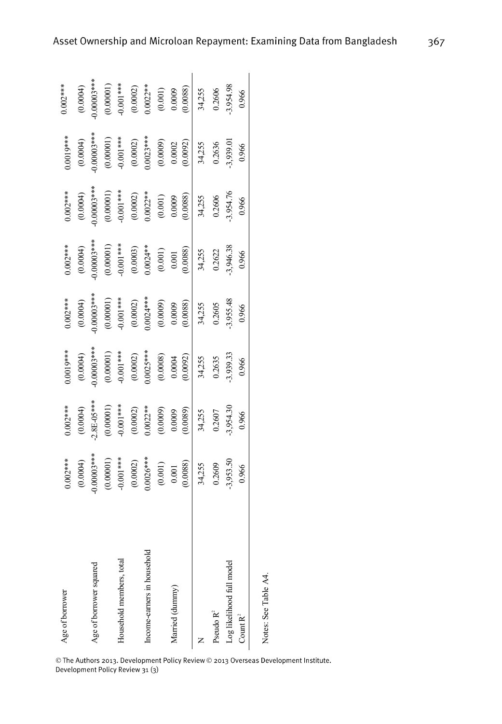| Age of borrower             | $0.002***$                                                                                                                                                                     | $0.002***$                                                       | $0.0019***$                                                                                                             | $0.002***$                                                                                                                                                    | $0.002***$                                                                                                                                               | $0.002***$                                                                                                                                    | $0.0019***$                                                                                                                                                                                                                                                                                                        | $0.002***$                                                                                                                                                  |
|-----------------------------|--------------------------------------------------------------------------------------------------------------------------------------------------------------------------------|------------------------------------------------------------------|-------------------------------------------------------------------------------------------------------------------------|---------------------------------------------------------------------------------------------------------------------------------------------------------------|----------------------------------------------------------------------------------------------------------------------------------------------------------|-----------------------------------------------------------------------------------------------------------------------------------------------|--------------------------------------------------------------------------------------------------------------------------------------------------------------------------------------------------------------------------------------------------------------------------------------------------------------------|-------------------------------------------------------------------------------------------------------------------------------------------------------------|
|                             |                                                                                                                                                                                | (0.0004)                                                         | (0.0004)                                                                                                                |                                                                                                                                                               |                                                                                                                                                          | (0.0004)                                                                                                                                      |                                                                                                                                                                                                                                                                                                                    | (0.0004)                                                                                                                                                    |
| Age of borrower squared     |                                                                                                                                                                                | $2.8E-05***$                                                     | $0.00003***$                                                                                                            |                                                                                                                                                               |                                                                                                                                                          |                                                                                                                                               |                                                                                                                                                                                                                                                                                                                    |                                                                                                                                                             |
|                             |                                                                                                                                                                                |                                                                  |                                                                                                                         |                                                                                                                                                               |                                                                                                                                                          |                                                                                                                                               |                                                                                                                                                                                                                                                                                                                    |                                                                                                                                                             |
| Household members, total    |                                                                                                                                                                                | $(0.00001)$<br>-0.001 ***                                        |                                                                                                                         |                                                                                                                                                               |                                                                                                                                                          |                                                                                                                                               |                                                                                                                                                                                                                                                                                                                    |                                                                                                                                                             |
|                             | $\begin{array}{l} (0.0004) \\ 0.00003*** \\ (0.00001) \\ \textrm{-} 0.001*** \\ (0.0002) \\ (0.0002) \\ (0.0026*** \\ (0.001) \\ (0.001) \\ (0.008) \\ (0.008) \\ \end{array}$ | $(0.0002)$<br>$0.0022**$<br>$(0.0009)$<br>$0.0009$<br>$(0.0089)$ |                                                                                                                         |                                                                                                                                                               |                                                                                                                                                          |                                                                                                                                               |                                                                                                                                                                                                                                                                                                                    | $\begin{array}{l} 0.00003^{***} \\ (0.00001) \\ -0.001^{***} \\ (0.0002) \\ (0.0002^{***} \\ 0.002^{***} \\ (0.001) \\ (0.0009) \\ (0.0088) \\ \end{array}$ |
| Income-earners in household |                                                                                                                                                                                |                                                                  |                                                                                                                         |                                                                                                                                                               |                                                                                                                                                          |                                                                                                                                               |                                                                                                                                                                                                                                                                                                                    |                                                                                                                                                             |
|                             |                                                                                                                                                                                |                                                                  |                                                                                                                         |                                                                                                                                                               |                                                                                                                                                          |                                                                                                                                               |                                                                                                                                                                                                                                                                                                                    |                                                                                                                                                             |
| Married (dummy)             |                                                                                                                                                                                |                                                                  |                                                                                                                         |                                                                                                                                                               |                                                                                                                                                          |                                                                                                                                               |                                                                                                                                                                                                                                                                                                                    |                                                                                                                                                             |
|                             |                                                                                                                                                                                |                                                                  | $\begin{array}{l} (0.00001) \\ -0.001^{***} \\ (0.0002) \\ (0.00025^{***} \\ (0.0008) \\ (0.0004 \\ \hline \end{array}$ | $\begin{array}{l} (0.0004) \\ (0.0003*** \\ (0.00001** \\ -0.001*** \\ (0.0002) \\ (0.0002*** \\ (0.0009) \\ (0.0009) \\ (0.0009) \\ (0.0088) \\ \end{array}$ | $\begin{array}{l} (0.0004) \\ 0.00003*** \\ (0.00001) \\ -0.001*** \\ (0.0003) \\ (0.0003) \\ (0.002*** \\ (0.001) \\ (0.001) \\ (0.008) \\ \end{array}$ | $\begin{array}{l} 0.00003**\cr (0.00001)\cr (0.00001)\cr (0.0002)\cr (0.0002)*\cr (0.001)*\cr (0.001)\cr (0.0009)\cr (0.0088)\cr \end{array}$ | $\begin{array}{l} (0.0004) \\ 0.00003^{***} \\ (0.00001) \\ -0.001^{***} \\ (0.0002) \\ (0.0002) \\ (0.0009) \\ (0.0002) \\ (0.0002) \\ (0.0002) \\ (0.0002) \\ (0.0002) \\ (0.0002) \\ (0.0002) \\ (0.0002) \\ (0.0002) \\ (0.0002) \\ (0.0002) \\ (0.0002) \\ (0.0002) \\ (0.0002) \\ (0.0002) \\ (0.0002) \\ ($ |                                                                                                                                                             |
|                             |                                                                                                                                                                                | 34,255                                                           | 34,255                                                                                                                  | 34,255                                                                                                                                                        | 34,255                                                                                                                                                   |                                                                                                                                               | 34,255                                                                                                                                                                                                                                                                                                             | 34,255<br>0.2606                                                                                                                                            |
| Pseudo R <sup>2</sup>       | 34,255<br>0.2609                                                                                                                                                               | 0.2607                                                           | 0.2635                                                                                                                  | 0.2605                                                                                                                                                        | 0.2622                                                                                                                                                   | 34,255<br>0.2606                                                                                                                              | 0.2636                                                                                                                                                                                                                                                                                                             |                                                                                                                                                             |
| Log likelihood full model   | 3,953.50                                                                                                                                                                       | 3,954.30                                                         | 3.939.33                                                                                                                | $-3.955.48$                                                                                                                                                   | -3,946.38                                                                                                                                                | 3.954.76                                                                                                                                      | 3,939.01                                                                                                                                                                                                                                                                                                           | $-3.954.98$                                                                                                                                                 |
| Count $R^2$                 | 0.966                                                                                                                                                                          | 0.966                                                            | 0.966                                                                                                                   | 0.966                                                                                                                                                         | 0.966                                                                                                                                                    | 0.966                                                                                                                                         | 0.966                                                                                                                                                                                                                                                                                                              | 0.966                                                                                                                                                       |
| Notes: See Table A4.        |                                                                                                                                                                                |                                                                  |                                                                                                                         |                                                                                                                                                               |                                                                                                                                                          |                                                                                                                                               |                                                                                                                                                                                                                                                                                                                    |                                                                                                                                                             |

 $\circledcirc$  The Authors 2013. Development Policy Review  $\circledcirc$ Development Policy Review 31 (3)